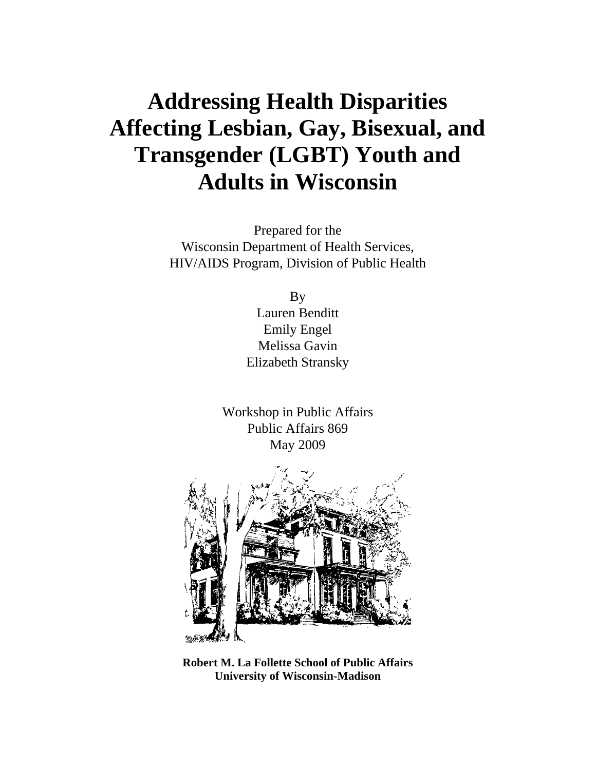# **Addressing Health Disparities Affecting Lesbian, Gay, Bisexual, and Transgender (LGBT) Youth and Adults in Wisconsin**

Prepared for the Wisconsin Department of Health Services, HIV/AIDS Program, Division of Public Health

> By Lauren Benditt Emily Engel Melissa Gavin Elizabeth Stransky

Workshop in Public Affairs Public Affairs 869 May 2009



**Robert M. La Follette School of Public Affairs University of Wisconsin-Madison**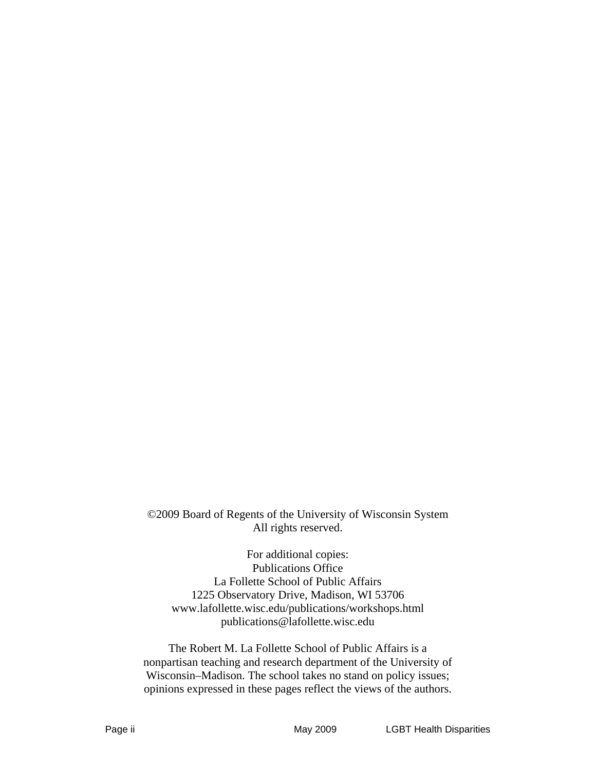©2009 Board of Regents of the University of Wisconsin System All rights reserved.

For additional copies: Publications Office La Follette School of Public Affairs 1225 Observatory Drive, Madison, WI 53706 www.lafollette.wisc.edu/publications/workshops.html publications@lafollette.wisc.edu

The Robert M. La Follette School of Public Affairs is a nonpartisan teaching and research department of the University of Wisconsin–Madison. The school takes no stand on policy issues; opinions expressed in these pages reflect the views of the authors.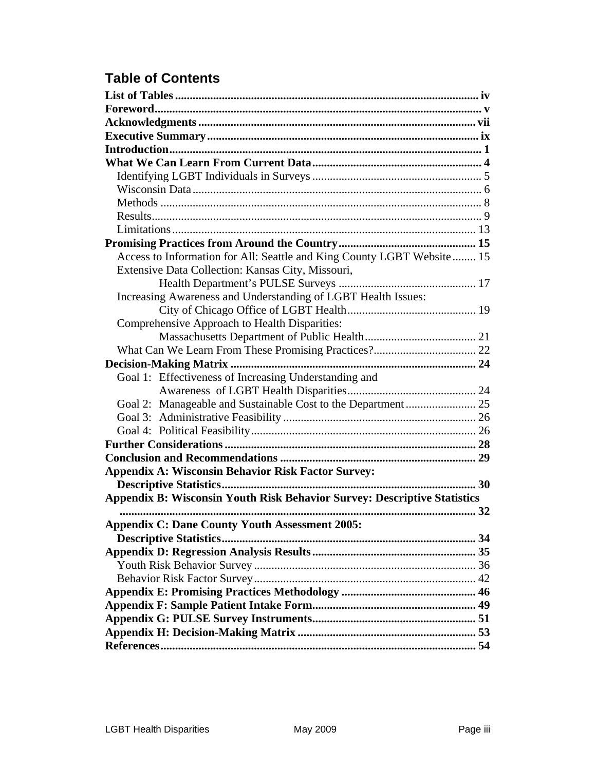# **Table of Contents**

| Access to Information for All: Seattle and King County LGBT Website 15   |  |
|--------------------------------------------------------------------------|--|
| Extensive Data Collection: Kansas City, Missouri,                        |  |
|                                                                          |  |
| Increasing Awareness and Understanding of LGBT Health Issues:            |  |
|                                                                          |  |
| Comprehensive Approach to Health Disparities:                            |  |
|                                                                          |  |
|                                                                          |  |
|                                                                          |  |
| Goal 1: Effectiveness of Increasing Understanding and                    |  |
|                                                                          |  |
| Goal 2: Manageable and Sustainable Cost to the Department  25            |  |
|                                                                          |  |
|                                                                          |  |
|                                                                          |  |
|                                                                          |  |
| <b>Appendix A: Wisconsin Behavior Risk Factor Survey:</b>                |  |
|                                                                          |  |
| Appendix B: Wisconsin Youth Risk Behavior Survey: Descriptive Statistics |  |
|                                                                          |  |
| <b>Appendix C: Dane County Youth Assessment 2005:</b>                    |  |
|                                                                          |  |
|                                                                          |  |
|                                                                          |  |
|                                                                          |  |
|                                                                          |  |
|                                                                          |  |
|                                                                          |  |
|                                                                          |  |
|                                                                          |  |
|                                                                          |  |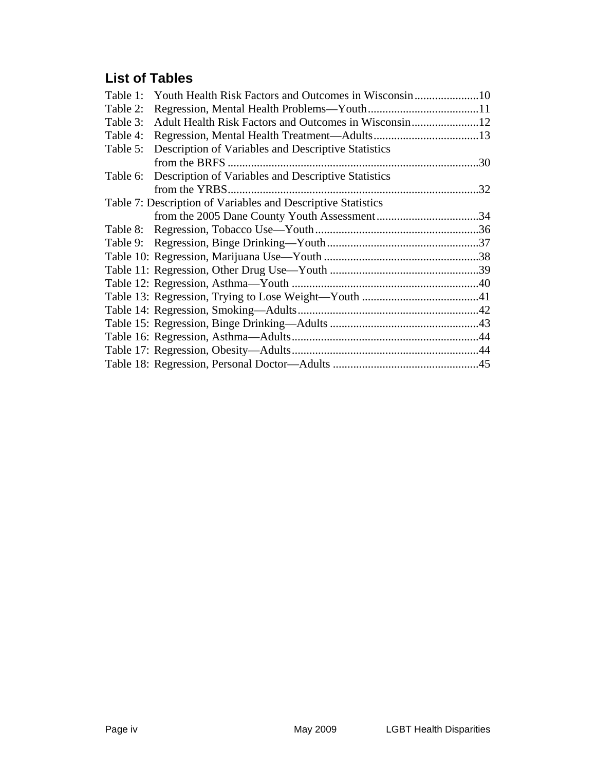# **List of Tables**

| Table 1: |                                                              |     |
|----------|--------------------------------------------------------------|-----|
| Table 2: |                                                              |     |
| Table 3: | Adult Health Risk Factors and Outcomes in Wisconsin12        |     |
| Table 4: |                                                              |     |
| Table 5: | Description of Variables and Descriptive Statistics          |     |
|          |                                                              |     |
| Table 6: | Description of Variables and Descriptive Statistics          |     |
|          | from the YRBS                                                | .32 |
|          | Table 7: Description of Variables and Descriptive Statistics |     |
|          |                                                              |     |
|          |                                                              |     |
|          |                                                              |     |
|          |                                                              |     |
|          |                                                              |     |
|          |                                                              |     |
|          |                                                              |     |
|          |                                                              |     |
|          |                                                              |     |
|          |                                                              |     |
|          |                                                              |     |
|          |                                                              |     |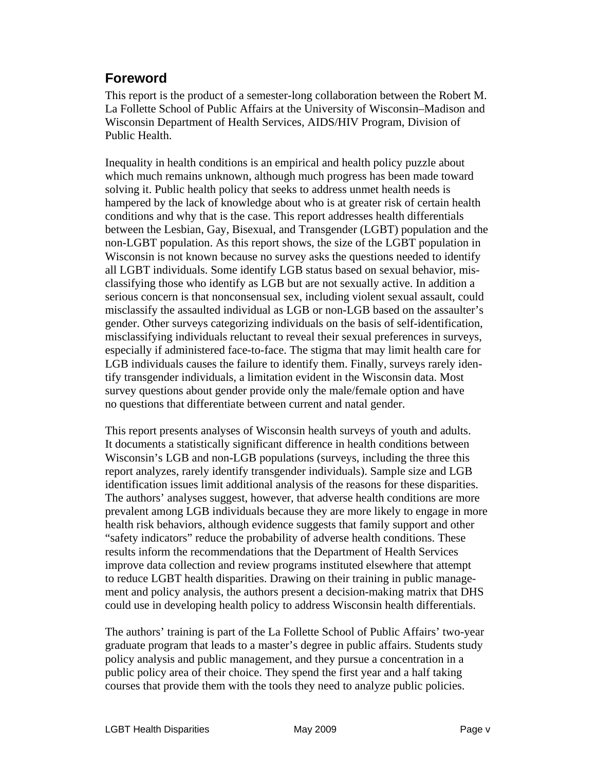### **Foreword**

This report is the product of a semester-long collaboration between the Robert M. La Follette School of Public Affairs at the University of Wisconsin–Madison and Wisconsin Department of Health Services, AIDS/HIV Program, Division of Public Health.

Inequality in health conditions is an empirical and health policy puzzle about which much remains unknown, although much progress has been made toward solving it. Public health policy that seeks to address unmet health needs is hampered by the lack of knowledge about who is at greater risk of certain health conditions and why that is the case. This report addresses health differentials between the Lesbian, Gay, Bisexual, and Transgender (LGBT) population and the non-LGBT population. As this report shows, the size of the LGBT population in Wisconsin is not known because no survey asks the questions needed to identify all LGBT individuals. Some identify LGB status based on sexual behavior, misclassifying those who identify as LGB but are not sexually active. In addition a serious concern is that nonconsensual sex, including violent sexual assault, could misclassify the assaulted individual as LGB or non-LGB based on the assaulter's gender. Other surveys categorizing individuals on the basis of self-identification, misclassifying individuals reluctant to reveal their sexual preferences in surveys, especially if administered face-to-face. The stigma that may limit health care for LGB individuals causes the failure to identify them. Finally, surveys rarely identify transgender individuals, a limitation evident in the Wisconsin data. Most survey questions about gender provide only the male/female option and have no questions that differentiate between current and natal gender.

This report presents analyses of Wisconsin health surveys of youth and adults. It documents a statistically significant difference in health conditions between Wisconsin's LGB and non-LGB populations (surveys, including the three this report analyzes, rarely identify transgender individuals). Sample size and LGB identification issues limit additional analysis of the reasons for these disparities. The authors' analyses suggest, however, that adverse health conditions are more prevalent among LGB individuals because they are more likely to engage in more health risk behaviors, although evidence suggests that family support and other "safety indicators" reduce the probability of adverse health conditions. These results inform the recommendations that the Department of Health Services improve data collection and review programs instituted elsewhere that attempt to reduce LGBT health disparities. Drawing on their training in public management and policy analysis, the authors present a decision-making matrix that DHS could use in developing health policy to address Wisconsin health differentials.

The authors' training is part of the La Follette School of Public Affairs' two-year graduate program that leads to a master's degree in public affairs. Students study policy analysis and public management, and they pursue a concentration in a public policy area of their choice. They spend the first year and a half taking courses that provide them with the tools they need to analyze public policies.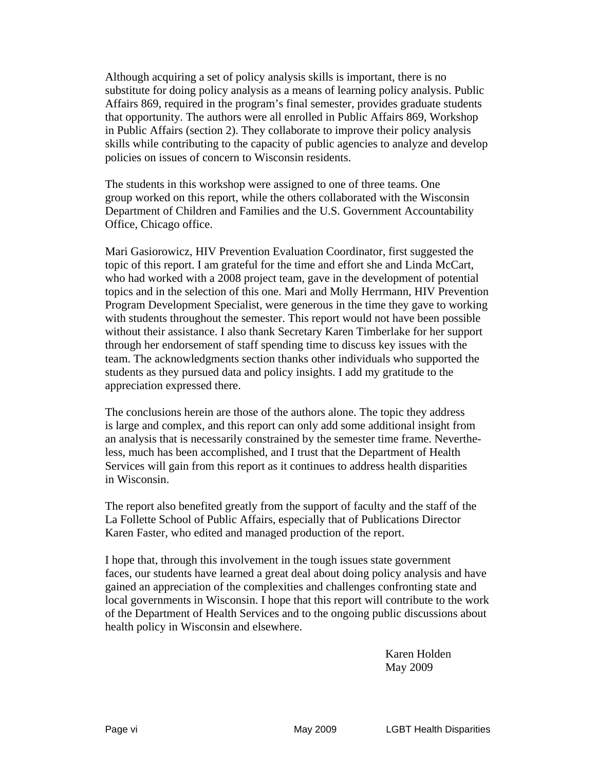Although acquiring a set of policy analysis skills is important, there is no substitute for doing policy analysis as a means of learning policy analysis. Public Affairs 869, required in the program's final semester, provides graduate students that opportunity. The authors were all enrolled in Public Affairs 869, Workshop in Public Affairs (section 2). They collaborate to improve their policy analysis skills while contributing to the capacity of public agencies to analyze and develop policies on issues of concern to Wisconsin residents.

The students in this workshop were assigned to one of three teams. One group worked on this report, while the others collaborated with the Wisconsin Department of Children and Families and the U.S. Government Accountability Office, Chicago office.

Mari Gasiorowicz, HIV Prevention Evaluation Coordinator, first suggested the topic of this report. I am grateful for the time and effort she and Linda McCart, who had worked with a 2008 project team, gave in the development of potential topics and in the selection of this one. Mari and Molly Herrmann, HIV Prevention Program Development Specialist, were generous in the time they gave to working with students throughout the semester. This report would not have been possible without their assistance. I also thank Secretary Karen Timberlake for her support through her endorsement of staff spending time to discuss key issues with the team. The acknowledgments section thanks other individuals who supported the students as they pursued data and policy insights. I add my gratitude to the appreciation expressed there.

The conclusions herein are those of the authors alone. The topic they address is large and complex, and this report can only add some additional insight from an analysis that is necessarily constrained by the semester time frame. Nevertheless, much has been accomplished, and I trust that the Department of Health Services will gain from this report as it continues to address health disparities in Wisconsin.

The report also benefited greatly from the support of faculty and the staff of the La Follette School of Public Affairs, especially that of Publications Director Karen Faster, who edited and managed production of the report.

I hope that, through this involvement in the tough issues state government faces, our students have learned a great deal about doing policy analysis and have gained an appreciation of the complexities and challenges confronting state and local governments in Wisconsin. I hope that this report will contribute to the work of the Department of Health Services and to the ongoing public discussions about health policy in Wisconsin and elsewhere.

> Karen Holden May 2009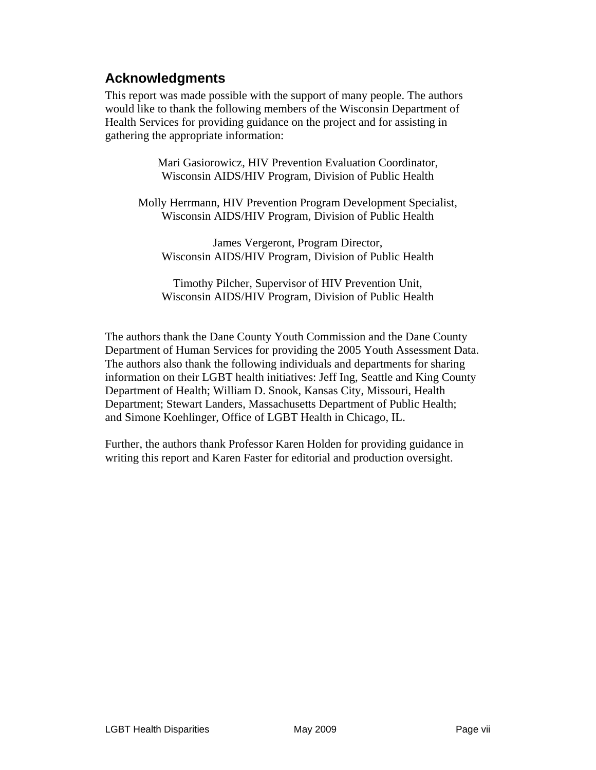### **Acknowledgments**

This report was made possible with the support of many people. The authors would like to thank the following members of the Wisconsin Department of Health Services for providing guidance on the project and for assisting in gathering the appropriate information:

> Mari Gasiorowicz, HIV Prevention Evaluation Coordinator, Wisconsin AIDS/HIV Program, Division of Public Health

Molly Herrmann, HIV Prevention Program Development Specialist, Wisconsin AIDS/HIV Program, Division of Public Health

James Vergeront, Program Director, Wisconsin AIDS/HIV Program, Division of Public Health

Timothy Pilcher, Supervisor of HIV Prevention Unit, Wisconsin AIDS/HIV Program, Division of Public Health

The authors thank the Dane County Youth Commission and the Dane County Department of Human Services for providing the 2005 Youth Assessment Data. The authors also thank the following individuals and departments for sharing information on their LGBT health initiatives: Jeff Ing, Seattle and King County Department of Health; William D. Snook, Kansas City, Missouri, Health Department; Stewart Landers, Massachusetts Department of Public Health; and Simone Koehlinger, Office of LGBT Health in Chicago, IL.

Further, the authors thank Professor Karen Holden for providing guidance in writing this report and Karen Faster for editorial and production oversight.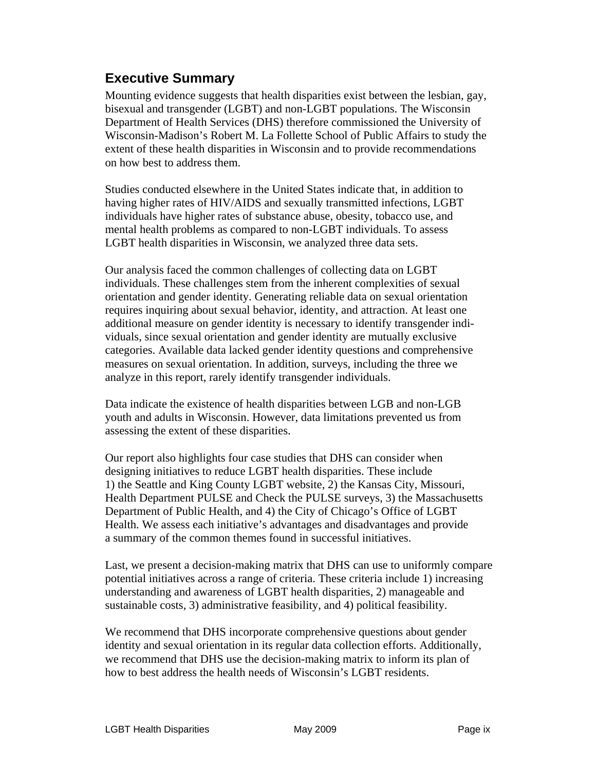# **Executive Summary**

Mounting evidence suggests that health disparities exist between the lesbian, gay, bisexual and transgender (LGBT) and non-LGBT populations. The Wisconsin Department of Health Services (DHS) therefore commissioned the University of Wisconsin-Madison's Robert M. La Follette School of Public Affairs to study the extent of these health disparities in Wisconsin and to provide recommendations on how best to address them.

Studies conducted elsewhere in the United States indicate that, in addition to having higher rates of HIV/AIDS and sexually transmitted infections, LGBT individuals have higher rates of substance abuse, obesity, tobacco use, and mental health problems as compared to non-LGBT individuals. To assess LGBT health disparities in Wisconsin, we analyzed three data sets.

Our analysis faced the common challenges of collecting data on LGBT individuals. These challenges stem from the inherent complexities of sexual orientation and gender identity. Generating reliable data on sexual orientation requires inquiring about sexual behavior, identity, and attraction. At least one additional measure on gender identity is necessary to identify transgender individuals, since sexual orientation and gender identity are mutually exclusive categories. Available data lacked gender identity questions and comprehensive measures on sexual orientation. In addition, surveys, including the three we analyze in this report, rarely identify transgender individuals.

Data indicate the existence of health disparities between LGB and non-LGB youth and adults in Wisconsin. However, data limitations prevented us from assessing the extent of these disparities.

Our report also highlights four case studies that DHS can consider when designing initiatives to reduce LGBT health disparities. These include 1) the Seattle and King County LGBT website, 2) the Kansas City, Missouri, Health Department PULSE and Check the PULSE surveys, 3) the Massachusetts Department of Public Health, and 4) the City of Chicago's Office of LGBT Health. We assess each initiative's advantages and disadvantages and provide a summary of the common themes found in successful initiatives.

Last, we present a decision-making matrix that DHS can use to uniformly compare potential initiatives across a range of criteria. These criteria include 1) increasing understanding and awareness of LGBT health disparities, 2) manageable and sustainable costs, 3) administrative feasibility, and 4) political feasibility.

We recommend that DHS incorporate comprehensive questions about gender identity and sexual orientation in its regular data collection efforts. Additionally, we recommend that DHS use the decision-making matrix to inform its plan of how to best address the health needs of Wisconsin's LGBT residents.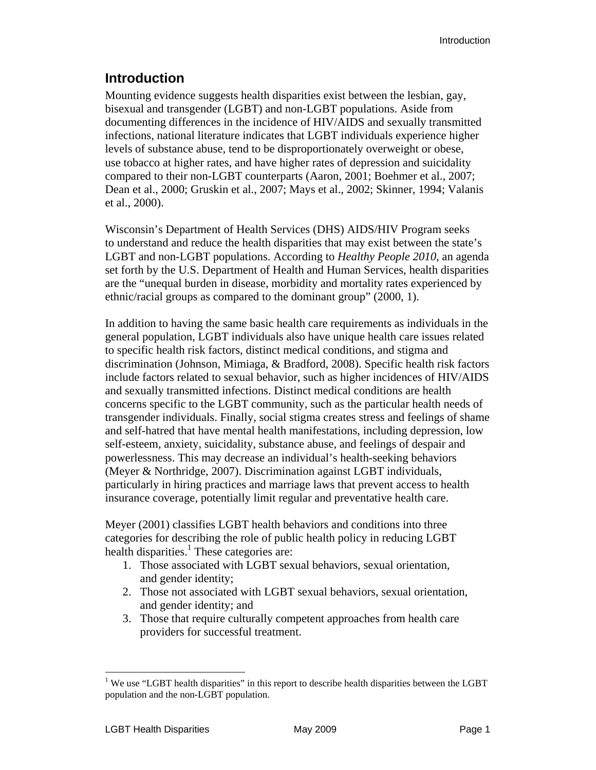### **Introduction**

Mounting evidence suggests health disparities exist between the lesbian, gay, bisexual and transgender (LGBT) and non-LGBT populations. Aside from documenting differences in the incidence of HIV/AIDS and sexually transmitted infections, national literature indicates that LGBT individuals experience higher levels of substance abuse, tend to be disproportionately overweight or obese, use tobacco at higher rates, and have higher rates of depression and suicidality compared to their non-LGBT counterparts (Aaron, 2001; Boehmer et al., 2007; Dean et al., 2000; Gruskin et al., 2007; Mays et al., 2002; Skinner, 1994; Valanis et al., 2000).

Wisconsin's Department of Health Services (DHS) AIDS/HIV Program seeks to understand and reduce the health disparities that may exist between the state's LGBT and non-LGBT populations. According to *Healthy People 2010*, an agenda set forth by the U.S. Department of Health and Human Services, health disparities are the "unequal burden in disease, morbidity and mortality rates experienced by ethnic/racial groups as compared to the dominant group" (2000, 1).

In addition to having the same basic health care requirements as individuals in the general population, LGBT individuals also have unique health care issues related to specific health risk factors, distinct medical conditions, and stigma and discrimination (Johnson, Mimiaga, & Bradford, 2008). Specific health risk factors include factors related to sexual behavior, such as higher incidences of HIV/AIDS and sexually transmitted infections. Distinct medical conditions are health concerns specific to the LGBT community, such as the particular health needs of transgender individuals. Finally, social stigma creates stress and feelings of shame and self-hatred that have mental health manifestations, including depression, low self-esteem, anxiety, suicidality, substance abuse, and feelings of despair and powerlessness. This may decrease an individual's health-seeking behaviors (Meyer & Northridge, 2007). Discrimination against LGBT individuals, particularly in hiring practices and marriage laws that prevent access to health insurance coverage, potentially limit regular and preventative health care.

Meyer (2001) classifies LGBT health behaviors and conditions into three categories for describing the role of public health policy in reducing LGBT health disparities.<sup>1</sup> These categories are:

- 1. Those associated with LGBT sexual behaviors, sexual orientation, and gender identity;
- 2. Those not associated with LGBT sexual behaviors, sexual orientation, and gender identity; and
- 3. Those that require culturally competent approaches from health care providers for successful treatment.

 $\overline{a}$ 

<sup>&</sup>lt;sup>1</sup> We use "LGBT health disparities" in this report to describe health disparities between the LGBT population and the non-LGBT population.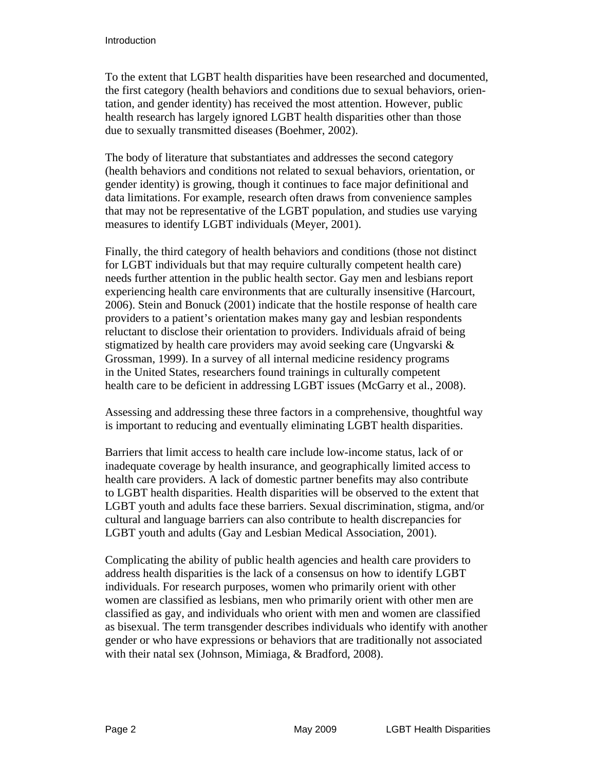To the extent that LGBT health disparities have been researched and documented, the first category (health behaviors and conditions due to sexual behaviors, orientation, and gender identity) has received the most attention. However, public health research has largely ignored LGBT health disparities other than those due to sexually transmitted diseases (Boehmer, 2002).

The body of literature that substantiates and addresses the second category (health behaviors and conditions not related to sexual behaviors, orientation, or gender identity) is growing, though it continues to face major definitional and data limitations. For example, research often draws from convenience samples that may not be representative of the LGBT population, and studies use varying measures to identify LGBT individuals (Meyer, 2001).

Finally, the third category of health behaviors and conditions (those not distinct for LGBT individuals but that may require culturally competent health care) needs further attention in the public health sector. Gay men and lesbians report experiencing health care environments that are culturally insensitive (Harcourt, 2006). Stein and Bonuck (2001) indicate that the hostile response of health care providers to a patient's orientation makes many gay and lesbian respondents reluctant to disclose their orientation to providers. Individuals afraid of being stigmatized by health care providers may avoid seeking care (Ungvarski & Grossman, 1999). In a survey of all internal medicine residency programs in the United States, researchers found trainings in culturally competent health care to be deficient in addressing LGBT issues (McGarry et al., 2008).

Assessing and addressing these three factors in a comprehensive, thoughtful way is important to reducing and eventually eliminating LGBT health disparities.

Barriers that limit access to health care include low-income status, lack of or inadequate coverage by health insurance, and geographically limited access to health care providers. A lack of domestic partner benefits may also contribute to LGBT health disparities. Health disparities will be observed to the extent that LGBT youth and adults face these barriers. Sexual discrimination, stigma, and/or cultural and language barriers can also contribute to health discrepancies for LGBT youth and adults (Gay and Lesbian Medical Association, 2001).

Complicating the ability of public health agencies and health care providers to address health disparities is the lack of a consensus on how to identify LGBT individuals. For research purposes, women who primarily orient with other women are classified as lesbians, men who primarily orient with other men are classified as gay, and individuals who orient with men and women are classified as bisexual. The term transgender describes individuals who identify with another gender or who have expressions or behaviors that are traditionally not associated with their natal sex (Johnson, Mimiaga, & Bradford, 2008).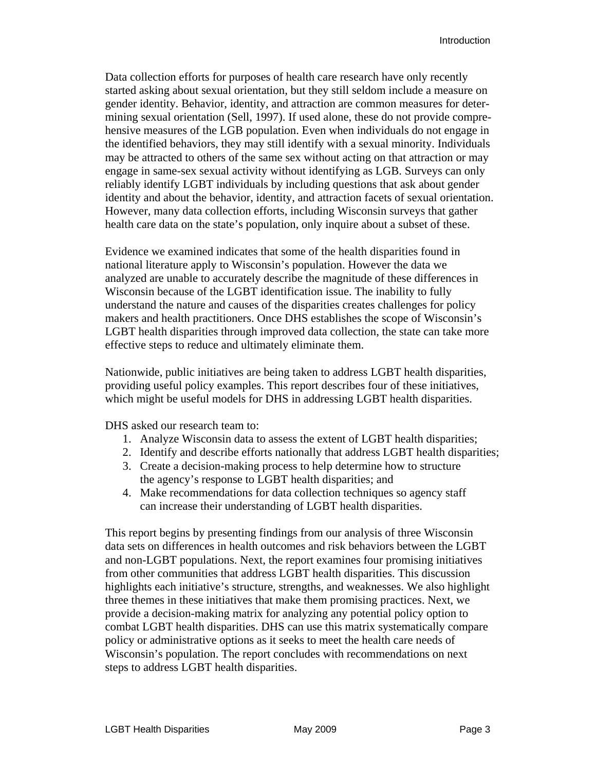Data collection efforts for purposes of health care research have only recently started asking about sexual orientation, but they still seldom include a measure on gender identity. Behavior, identity, and attraction are common measures for determining sexual orientation (Sell, 1997). If used alone, these do not provide comprehensive measures of the LGB population. Even when individuals do not engage in the identified behaviors, they may still identify with a sexual minority. Individuals may be attracted to others of the same sex without acting on that attraction or may engage in same-sex sexual activity without identifying as LGB. Surveys can only reliably identify LGBT individuals by including questions that ask about gender identity and about the behavior, identity, and attraction facets of sexual orientation. However, many data collection efforts, including Wisconsin surveys that gather health care data on the state's population, only inquire about a subset of these.

Evidence we examined indicates that some of the health disparities found in national literature apply to Wisconsin's population. However the data we analyzed are unable to accurately describe the magnitude of these differences in Wisconsin because of the LGBT identification issue. The inability to fully understand the nature and causes of the disparities creates challenges for policy makers and health practitioners. Once DHS establishes the scope of Wisconsin's LGBT health disparities through improved data collection, the state can take more effective steps to reduce and ultimately eliminate them.

Nationwide, public initiatives are being taken to address LGBT health disparities, providing useful policy examples. This report describes four of these initiatives, which might be useful models for DHS in addressing LGBT health disparities.

DHS asked our research team to:

- 1. Analyze Wisconsin data to assess the extent of LGBT health disparities;
- 2. Identify and describe efforts nationally that address LGBT health disparities;
- 3. Create a decision-making process to help determine how to structure the agency's response to LGBT health disparities; and
- 4. Make recommendations for data collection techniques so agency staff can increase their understanding of LGBT health disparities.

This report begins by presenting findings from our analysis of three Wisconsin data sets on differences in health outcomes and risk behaviors between the LGBT and non-LGBT populations. Next, the report examines four promising initiatives from other communities that address LGBT health disparities. This discussion highlights each initiative's structure, strengths, and weaknesses. We also highlight three themes in these initiatives that make them promising practices. Next, we provide a decision-making matrix for analyzing any potential policy option to combat LGBT health disparities. DHS can use this matrix systematically compare policy or administrative options as it seeks to meet the health care needs of Wisconsin's population. The report concludes with recommendations on next steps to address LGBT health disparities.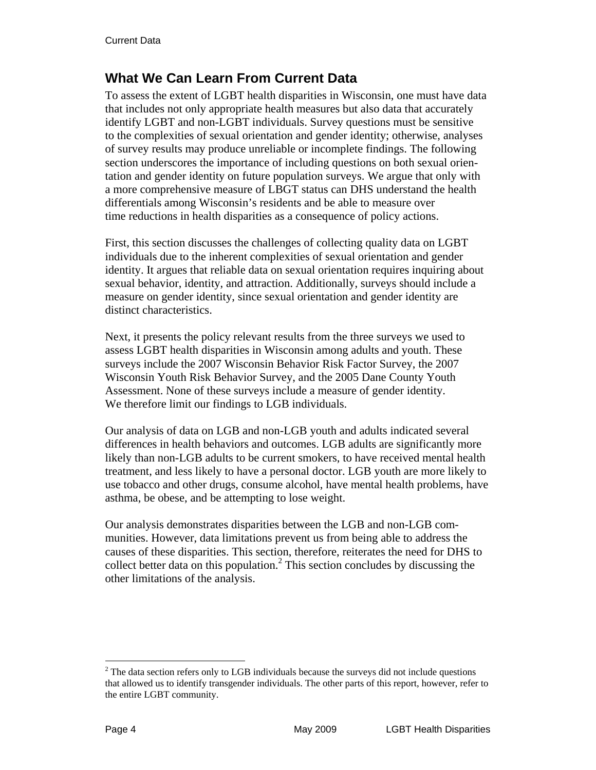# **What We Can Learn From Current Data**

To assess the extent of LGBT health disparities in Wisconsin, one must have data that includes not only appropriate health measures but also data that accurately identify LGBT and non-LGBT individuals. Survey questions must be sensitive to the complexities of sexual orientation and gender identity; otherwise, analyses of survey results may produce unreliable or incomplete findings. The following section underscores the importance of including questions on both sexual orientation and gender identity on future population surveys. We argue that only with a more comprehensive measure of LBGT status can DHS understand the health differentials among Wisconsin's residents and be able to measure over time reductions in health disparities as a consequence of policy actions.

First, this section discusses the challenges of collecting quality data on LGBT individuals due to the inherent complexities of sexual orientation and gender identity. It argues that reliable data on sexual orientation requires inquiring about sexual behavior, identity, and attraction. Additionally, surveys should include a measure on gender identity, since sexual orientation and gender identity are distinct characteristics.

Next, it presents the policy relevant results from the three surveys we used to assess LGBT health disparities in Wisconsin among adults and youth. These surveys include the 2007 Wisconsin Behavior Risk Factor Survey, the 2007 Wisconsin Youth Risk Behavior Survey, and the 2005 Dane County Youth Assessment. None of these surveys include a measure of gender identity. We therefore limit our findings to LGB individuals.

Our analysis of data on LGB and non-LGB youth and adults indicated several differences in health behaviors and outcomes. LGB adults are significantly more likely than non-LGB adults to be current smokers, to have received mental health treatment, and less likely to have a personal doctor. LGB youth are more likely to use tobacco and other drugs, consume alcohol, have mental health problems, have asthma, be obese, and be attempting to lose weight.

Our analysis demonstrates disparities between the LGB and non-LGB communities. However, data limitations prevent us from being able to address the causes of these disparities. This section, therefore, reiterates the need for DHS to collect better data on this population.<sup>2</sup> This section concludes by discussing the other limitations of the analysis.

1

 $2^2$  The data section refers only to LGB individuals because the surveys did not include questions that allowed us to identify transgender individuals. The other parts of this report, however, refer to the entire LGBT community.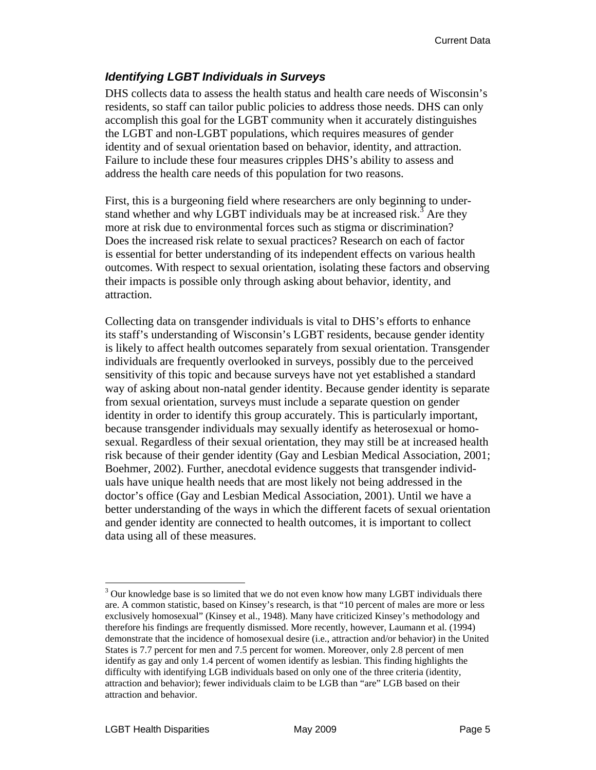### *Identifying LGBT Individuals in Surveys*

DHS collects data to assess the health status and health care needs of Wisconsin's residents, so staff can tailor public policies to address those needs. DHS can only accomplish this goal for the LGBT community when it accurately distinguishes the LGBT and non-LGBT populations, which requires measures of gender identity and of sexual orientation based on behavior, identity, and attraction. Failure to include these four measures cripples DHS's ability to assess and address the health care needs of this population for two reasons.

First, this is a burgeoning field where researchers are only beginning to understand whether and why LGBT individuals may be at increased risk.<sup>3</sup> Are they more at risk due to environmental forces such as stigma or discrimination? Does the increased risk relate to sexual practices? Research on each of factor is essential for better understanding of its independent effects on various health outcomes. With respect to sexual orientation, isolating these factors and observing their impacts is possible only through asking about behavior, identity, and attraction.

Collecting data on transgender individuals is vital to DHS's efforts to enhance its staff's understanding of Wisconsin's LGBT residents, because gender identity is likely to affect health outcomes separately from sexual orientation. Transgender individuals are frequently overlooked in surveys, possibly due to the perceived sensitivity of this topic and because surveys have not yet established a standard way of asking about non-natal gender identity. Because gender identity is separate from sexual orientation, surveys must include a separate question on gender identity in order to identify this group accurately. This is particularly important, because transgender individuals may sexually identify as heterosexual or homosexual. Regardless of their sexual orientation, they may still be at increased health risk because of their gender identity (Gay and Lesbian Medical Association, 2001; Boehmer, 2002). Further, anecdotal evidence suggests that transgender individuals have unique health needs that are most likely not being addressed in the doctor's office (Gay and Lesbian Medical Association, 2001). Until we have a better understanding of the ways in which the different facets of sexual orientation and gender identity are connected to health outcomes, it is important to collect data using all of these measures.

 $\overline{a}$  $3$  Our knowledge base is so limited that we do not even know how many LGBT individuals there are. A common statistic, based on Kinsey's research, is that "10 percent of males are more or less exclusively homosexual" (Kinsey et al., 1948). Many have criticized Kinsey's methodology and therefore his findings are frequently dismissed. More recently, however, Laumann et al. (1994) demonstrate that the incidence of homosexual desire (i.e., attraction and/or behavior) in the United States is 7.7 percent for men and 7.5 percent for women. Moreover, only 2.8 percent of men identify as gay and only 1.4 percent of women identify as lesbian. This finding highlights the difficulty with identifying LGB individuals based on only one of the three criteria (identity, attraction and behavior); fewer individuals claim to be LGB than "are" LGB based on their attraction and behavior.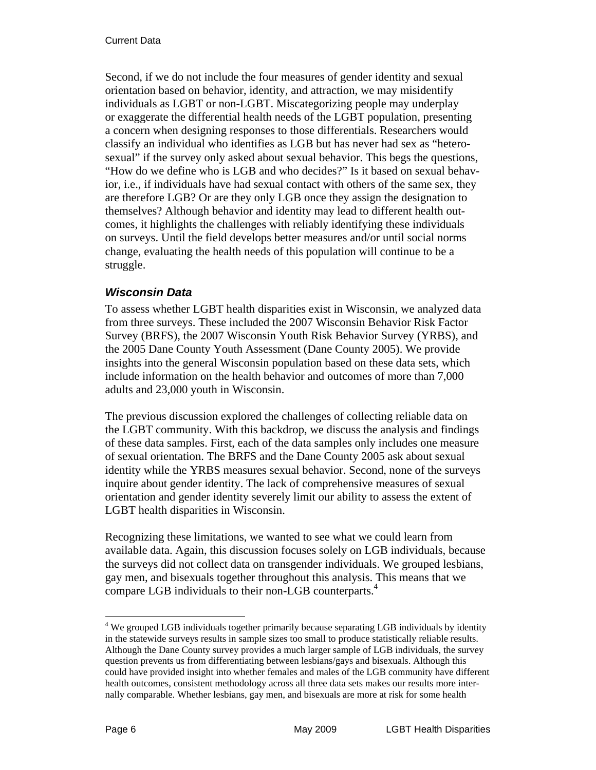Second, if we do not include the four measures of gender identity and sexual orientation based on behavior, identity, and attraction, we may misidentify individuals as LGBT or non-LGBT. Miscategorizing people may underplay or exaggerate the differential health needs of the LGBT population, presenting a concern when designing responses to those differentials. Researchers would classify an individual who identifies as LGB but has never had sex as "heterosexual" if the survey only asked about sexual behavior. This begs the questions, "How do we define who is LGB and who decides?" Is it based on sexual behavior, i.e., if individuals have had sexual contact with others of the same sex, they are therefore LGB? Or are they only LGB once they assign the designation to themselves? Although behavior and identity may lead to different health outcomes, it highlights the challenges with reliably identifying these individuals on surveys. Until the field develops better measures and/or until social norms change, evaluating the health needs of this population will continue to be a struggle.

#### *Wisconsin Data*

To assess whether LGBT health disparities exist in Wisconsin, we analyzed data from three surveys. These included the 2007 Wisconsin Behavior Risk Factor Survey (BRFS), the 2007 Wisconsin Youth Risk Behavior Survey (YRBS), and the 2005 Dane County Youth Assessment (Dane County 2005). We provide insights into the general Wisconsin population based on these data sets, which include information on the health behavior and outcomes of more than 7,000 adults and 23,000 youth in Wisconsin.

The previous discussion explored the challenges of collecting reliable data on the LGBT community. With this backdrop, we discuss the analysis and findings of these data samples. First, each of the data samples only includes one measure of sexual orientation. The BRFS and the Dane County 2005 ask about sexual identity while the YRBS measures sexual behavior. Second, none of the surveys inquire about gender identity. The lack of comprehensive measures of sexual orientation and gender identity severely limit our ability to assess the extent of LGBT health disparities in Wisconsin.

Recognizing these limitations, we wanted to see what we could learn from available data. Again, this discussion focuses solely on LGB individuals, because the surveys did not collect data on transgender individuals. We grouped lesbians, gay men, and bisexuals together throughout this analysis. This means that we compare LGB individuals to their non-LGB counterparts.<sup>4</sup>

 $\overline{a}$ 

<sup>&</sup>lt;sup>4</sup> We grouped LGB individuals together primarily because separating LGB individuals by identity in the statewide surveys results in sample sizes too small to produce statistically reliable results. Although the Dane County survey provides a much larger sample of LGB individuals, the survey question prevents us from differentiating between lesbians/gays and bisexuals. Although this could have provided insight into whether females and males of the LGB community have different health outcomes, consistent methodology across all three data sets makes our results more internally comparable. Whether lesbians, gay men, and bisexuals are more at risk for some health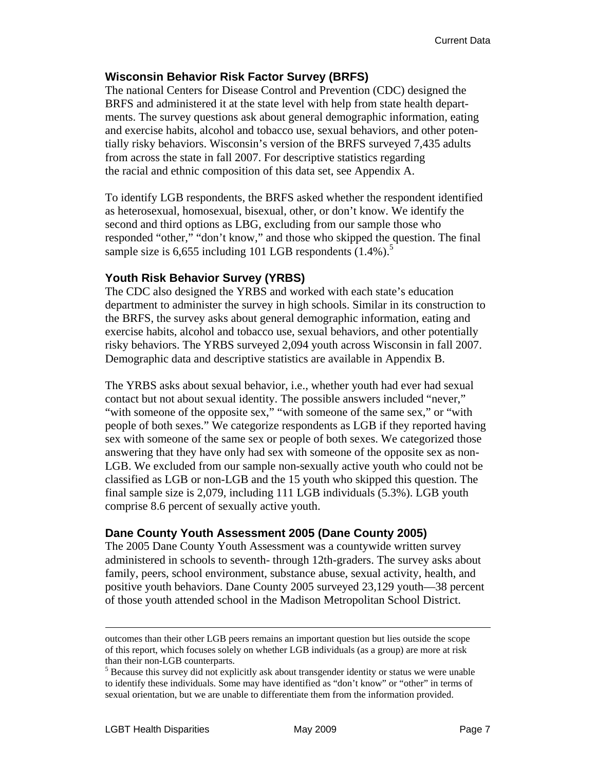#### **Wisconsin Behavior Risk Factor Survey (BRFS)**

The national Centers for Disease Control and Prevention (CDC) designed the BRFS and administered it at the state level with help from state health departments. The survey questions ask about general demographic information, eating and exercise habits, alcohol and tobacco use, sexual behaviors, and other potentially risky behaviors. Wisconsin's version of the BRFS surveyed 7,435 adults from across the state in fall 2007. For descriptive statistics regarding the racial and ethnic composition of this data set, see Appendix A.

To identify LGB respondents, the BRFS asked whether the respondent identified as heterosexual, homosexual, bisexual, other, or don't know. We identify the second and third options as LBG, excluding from our sample those who responded "other," "don't know," and those who skipped the question. The final sample size is  $6,655$  including 101 LGB respondents  $(1.4\%)$ .<sup>5</sup>

#### **Youth Risk Behavior Survey (YRBS)**

The CDC also designed the YRBS and worked with each state's education department to administer the survey in high schools. Similar in its construction to the BRFS, the survey asks about general demographic information, eating and exercise habits, alcohol and tobacco use, sexual behaviors, and other potentially risky behaviors. The YRBS surveyed 2,094 youth across Wisconsin in fall 2007. Demographic data and descriptive statistics are available in Appendix B.

The YRBS asks about sexual behavior, i.e., whether youth had ever had sexual contact but not about sexual identity. The possible answers included "never," "with someone of the opposite sex," "with someone of the same sex," or "with people of both sexes." We categorize respondents as LGB if they reported having sex with someone of the same sex or people of both sexes. We categorized those answering that they have only had sex with someone of the opposite sex as non-LGB. We excluded from our sample non-sexually active youth who could not be classified as LGB or non-LGB and the 15 youth who skipped this question. The final sample size is 2,079, including 111 LGB individuals (5.3%). LGB youth comprise 8.6 percent of sexually active youth.

#### **Dane County Youth Assessment 2005 (Dane County 2005)**

The 2005 Dane County Youth Assessment was a countywide written survey administered in schools to seventh- through 12th-graders. The survey asks about family, peers, school environment, substance abuse, sexual activity, health, and positive youth behaviors. Dane County 2005 surveyed 23,129 youth—38 percent of those youth attended school in the Madison Metropolitan School District.

outcomes than their other LGB peers remains an important question but lies outside the scope of this report, which focuses solely on whether LGB individuals (as a group) are more at risk than their non-LGB counterparts.

<sup>&</sup>lt;sup>5</sup> Because this survey did not explicitly ask about transgender identity or status we were unable to identify these individuals. Some may have identified as "don't know" or "other" in terms of sexual orientation, but we are unable to differentiate them from the information provided.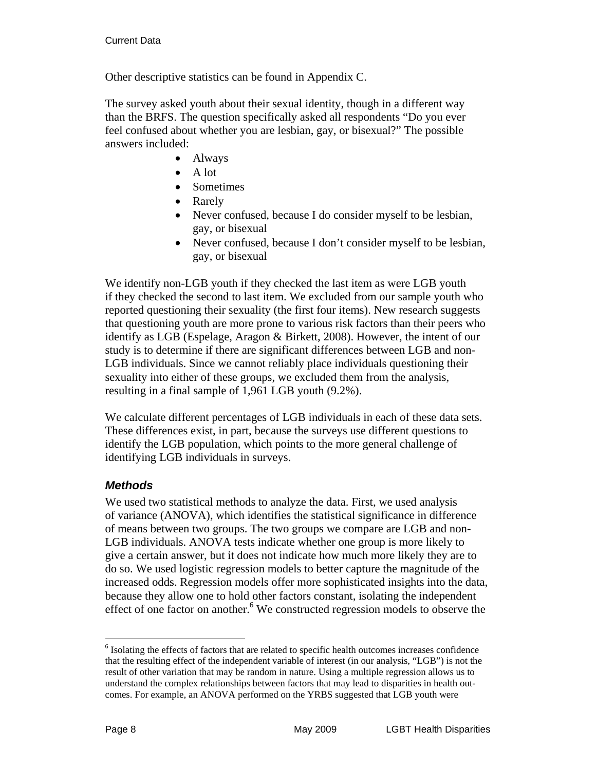Other descriptive statistics can be found in Appendix C.

The survey asked youth about their sexual identity, though in a different way than the BRFS. The question specifically asked all respondents "Do you ever feel confused about whether you are lesbian, gay, or bisexual?" The possible answers included:

- Always
- A lot
- Sometimes
- Rarely
- Never confused, because I do consider myself to be lesbian, gay, or bisexual
- Never confused, because I don't consider myself to be lesbian, gay, or bisexual

We identify non-LGB youth if they checked the last item as were LGB youth if they checked the second to last item. We excluded from our sample youth who reported questioning their sexuality (the first four items). New research suggests that questioning youth are more prone to various risk factors than their peers who identify as LGB (Espelage, Aragon & Birkett, 2008). However, the intent of our study is to determine if there are significant differences between LGB and non-LGB individuals. Since we cannot reliably place individuals questioning their sexuality into either of these groups, we excluded them from the analysis, resulting in a final sample of 1,961 LGB youth (9.2%).

We calculate different percentages of LGB individuals in each of these data sets. These differences exist, in part, because the surveys use different questions to identify the LGB population, which points to the more general challenge of identifying LGB individuals in surveys.

#### *Methods*

We used two statistical methods to analyze the data. First, we used analysis of variance (ANOVA), which identifies the statistical significance in difference of means between two groups. The two groups we compare are LGB and non-LGB individuals. ANOVA tests indicate whether one group is more likely to give a certain answer, but it does not indicate how much more likely they are to do so. We used logistic regression models to better capture the magnitude of the increased odds. Regression models offer more sophisticated insights into the data, because they allow one to hold other factors constant, isolating the independent effect of one factor on another.<sup>6</sup> We constructed regression models to observe the

 $\overline{a}$ 

<sup>&</sup>lt;sup>6</sup> Isolating the effects of factors that are related to specific health outcomes increases confidence that the resulting effect of the independent variable of interest (in our analysis, "LGB") is not the result of other variation that may be random in nature. Using a multiple regression allows us to understand the complex relationships between factors that may lead to disparities in health outcomes. For example, an ANOVA performed on the YRBS suggested that LGB youth were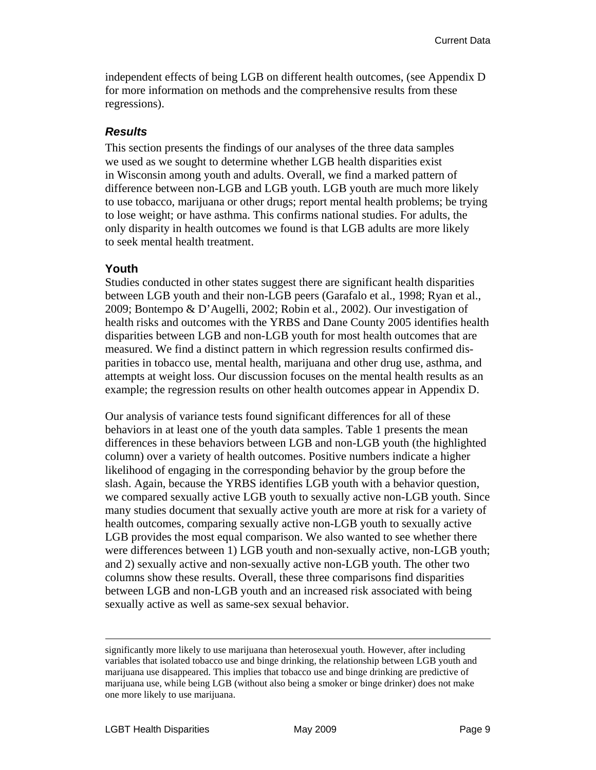independent effects of being LGB on different health outcomes, (see Appendix D for more information on methods and the comprehensive results from these regressions).

#### *Results*

This section presents the findings of our analyses of the three data samples we used as we sought to determine whether LGB health disparities exist in Wisconsin among youth and adults. Overall, we find a marked pattern of difference between non-LGB and LGB youth. LGB youth are much more likely to use tobacco, marijuana or other drugs; report mental health problems; be trying to lose weight; or have asthma. This confirms national studies. For adults, the only disparity in health outcomes we found is that LGB adults are more likely to seek mental health treatment.

#### **Youth**

Studies conducted in other states suggest there are significant health disparities between LGB youth and their non-LGB peers (Garafalo et al., 1998; Ryan et al., 2009; Bontempo & D'Augelli, 2002; Robin et al., 2002). Our investigation of health risks and outcomes with the YRBS and Dane County 2005 identifies health disparities between LGB and non-LGB youth for most health outcomes that are measured. We find a distinct pattern in which regression results confirmed disparities in tobacco use, mental health, marijuana and other drug use, asthma, and attempts at weight loss. Our discussion focuses on the mental health results as an example; the regression results on other health outcomes appear in Appendix D.

Our analysis of variance tests found significant differences for all of these behaviors in at least one of the youth data samples. Table 1 presents the mean differences in these behaviors between LGB and non-LGB youth (the highlighted column) over a variety of health outcomes. Positive numbers indicate a higher likelihood of engaging in the corresponding behavior by the group before the slash. Again, because the YRBS identifies LGB youth with a behavior question, we compared sexually active LGB youth to sexually active non-LGB youth. Since many studies document that sexually active youth are more at risk for a variety of health outcomes, comparing sexually active non-LGB youth to sexually active LGB provides the most equal comparison. We also wanted to see whether there were differences between 1) LGB youth and non-sexually active, non-LGB youth; and 2) sexually active and non-sexually active non-LGB youth. The other two columns show these results. Overall, these three comparisons find disparities between LGB and non-LGB youth and an increased risk associated with being sexually active as well as same-sex sexual behavior.

significantly more likely to use marijuana than heterosexual youth. However, after including variables that isolated tobacco use and binge drinking, the relationship between LGB youth and marijuana use disappeared. This implies that tobacco use and binge drinking are predictive of marijuana use, while being LGB (without also being a smoker or binge drinker) does not make one more likely to use marijuana.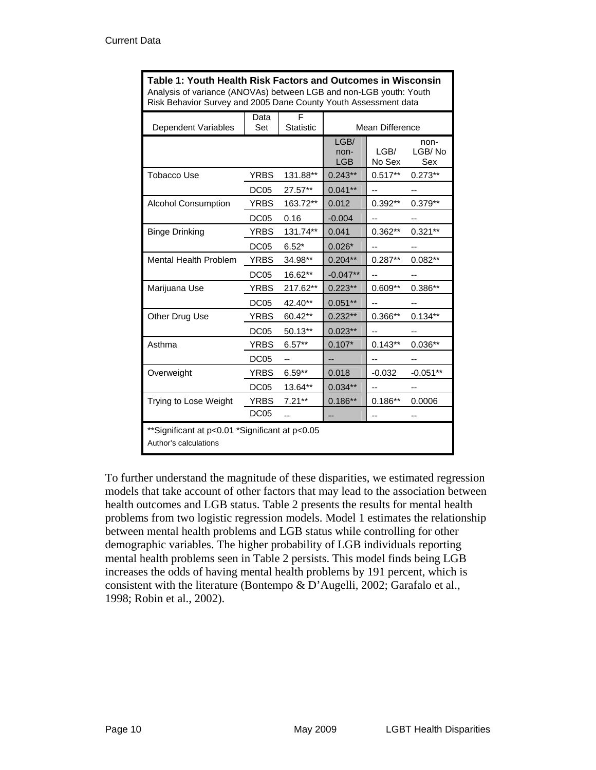| Table 1: Youth Health Risk Factors and Outcomes in Wisconsin<br>Analysis of variance (ANOVAs) between LGB and non-LGB youth: Youth<br>Risk Behavior Survey and 2005 Dane County Youth Assessment data |                  |                       |                            |                |                       |
|-------------------------------------------------------------------------------------------------------------------------------------------------------------------------------------------------------|------------------|-----------------------|----------------------------|----------------|-----------------------|
| Dependent Variables                                                                                                                                                                                   | Data<br>Set      | F<br><b>Statistic</b> | <b>Mean Difference</b>     |                |                       |
|                                                                                                                                                                                                       |                  |                       | LGB/<br>non-<br><b>LGB</b> | LGB/<br>No Sex | non-<br>LGB/No<br>Sex |
| Tobacco Use                                                                                                                                                                                           | <b>YRBS</b>      | 131.88**              | $0.243**$                  | $0.517**$      | $0.273**$             |
|                                                                                                                                                                                                       | DC <sub>05</sub> | 27.57**               | $0.041**$                  |                |                       |
| <b>Alcohol Consumption</b>                                                                                                                                                                            | YRBS             | 163.72**              | 0.012                      | $0.392**$      | 0.379**               |
|                                                                                                                                                                                                       | DC <sub>05</sub> | 0.16                  | $-0.004$                   | $\overline{a}$ | --                    |
| <b>Binge Drinking</b>                                                                                                                                                                                 | <b>YRBS</b>      | 131.74**              | 0.041                      | $0.362**$      | $0.321**$             |
|                                                                                                                                                                                                       | <b>DC05</b>      | $6.52*$               | $0.026*$                   | --             | --                    |
| <b>Mental Health Problem</b>                                                                                                                                                                          | <b>YRBS</b>      | 34.98**               | $0.204**$                  | $0.287**$      | $0.082**$             |
|                                                                                                                                                                                                       | DC <sub>05</sub> | 16.62**               | $-0.047**$                 | $-$            | --                    |
| Marijuana Use                                                                                                                                                                                         | YRBS             | 217.62**              | $0.223**$                  | $0.609**$      | $0.386**$             |
|                                                                                                                                                                                                       | DC <sub>05</sub> | 42.40**               | $0.051**$                  |                |                       |
| Other Drug Use                                                                                                                                                                                        | <b>YRBS</b>      | 60.42**               | $0.232**$                  | $0.366**$      | $0.134**$             |
|                                                                                                                                                                                                       | DC <sub>05</sub> | 50.13**               | $0.023**$                  |                |                       |
| Asthma                                                                                                                                                                                                | YRBS             | $6.57**$              | $0.107*$                   | $0.143**$      | $0.036**$             |
|                                                                                                                                                                                                       | DC <sub>05</sub> | --                    |                            | $-$            |                       |
| Overweight                                                                                                                                                                                            | <b>YRBS</b>      | $6.59**$              | 0.018                      | $-0.032$       | $-0.051**$            |
|                                                                                                                                                                                                       | <b>DC05</b>      | 13.64**               | $0.034**$                  |                |                       |
| Trying to Lose Weight                                                                                                                                                                                 | <b>YRBS</b>      | $7.21**$              | $0.186**$                  | $0.186**$      | 0.0006                |
|                                                                                                                                                                                                       | <b>DC05</b>      | --                    | --                         | $-$            | --                    |
| **Significant at p<0.01 *Significant at p<0.05<br>Author's calculations                                                                                                                               |                  |                       |                            |                |                       |

To further understand the magnitude of these disparities, we estimated regression models that take account of other factors that may lead to the association between health outcomes and LGB status. Table 2 presents the results for mental health problems from two logistic regression models. Model 1 estimates the relationship between mental health problems and LGB status while controlling for other demographic variables. The higher probability of LGB individuals reporting mental health problems seen in Table 2 persists. This model finds being LGB increases the odds of having mental health problems by 191 percent, which is consistent with the literature (Bontempo & D'Augelli, 2002; Garafalo et al., 1998; Robin et al., 2002).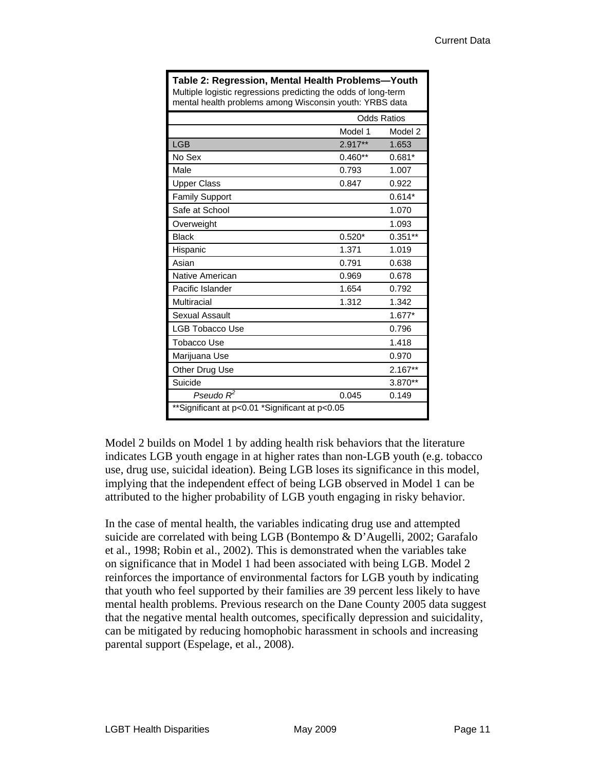| Table 2: Regression, Mental Health Problems-Youth<br>Multiple logistic regressions predicting the odds of long-term<br>mental health problems among Wisconsin youth: YRBS data |           |                    |  |
|--------------------------------------------------------------------------------------------------------------------------------------------------------------------------------|-----------|--------------------|--|
|                                                                                                                                                                                |           | <b>Odds Ratios</b> |  |
|                                                                                                                                                                                | Model 1   | Model 2            |  |
| <b>LGB</b>                                                                                                                                                                     | 2.917**   | 1.653              |  |
| No Sex                                                                                                                                                                         | $0.460**$ | $0.681*$           |  |
| Male                                                                                                                                                                           | 0.793     | 1.007              |  |
| <b>Upper Class</b>                                                                                                                                                             | 0.847     | 0.922              |  |
| <b>Family Support</b>                                                                                                                                                          |           | $0.614*$           |  |
| Safe at School                                                                                                                                                                 |           | 1.070              |  |
| Overweight                                                                                                                                                                     |           | 1.093              |  |
| <b>Black</b>                                                                                                                                                                   | $0.520*$  | $0.351**$          |  |
| Hispanic                                                                                                                                                                       | 1.371     | 1.019              |  |
| Asian                                                                                                                                                                          | 0.791     | 0.638              |  |
| Native American                                                                                                                                                                | 0.969     | 0.678              |  |
| Pacific Islander                                                                                                                                                               | 1.654     | 0.792              |  |
| Multiracial                                                                                                                                                                    | 1.312     | 1.342              |  |
| <b>Sexual Assault</b>                                                                                                                                                          |           | $1.677*$           |  |
| <b>LGB Tobacco Use</b>                                                                                                                                                         |           | 0.796              |  |
| Tobacco Use                                                                                                                                                                    |           | 1.418              |  |
| Marijuana Use                                                                                                                                                                  |           | 0.970              |  |
| Other Drug Use                                                                                                                                                                 |           | $2.167**$          |  |
| Suicide                                                                                                                                                                        |           | 3.870**            |  |
| Pseudo $R^2$                                                                                                                                                                   | 0.045     | 0.149              |  |
| **Significant at p<0.01 *Significant at p<0.05                                                                                                                                 |           |                    |  |

Model 2 builds on Model 1 by adding health risk behaviors that the literature indicates LGB youth engage in at higher rates than non-LGB youth (e.g. tobacco use, drug use, suicidal ideation). Being LGB loses its significance in this model, implying that the independent effect of being LGB observed in Model 1 can be attributed to the higher probability of LGB youth engaging in risky behavior.

In the case of mental health, the variables indicating drug use and attempted suicide are correlated with being LGB (Bontempo & D'Augelli, 2002; Garafalo et al., 1998; Robin et al., 2002). This is demonstrated when the variables take on significance that in Model 1 had been associated with being LGB. Model 2 reinforces the importance of environmental factors for LGB youth by indicating that youth who feel supported by their families are 39 percent less likely to have mental health problems. Previous research on the Dane County 2005 data suggest that the negative mental health outcomes, specifically depression and suicidality, can be mitigated by reducing homophobic harassment in schools and increasing parental support (Espelage, et al., 2008).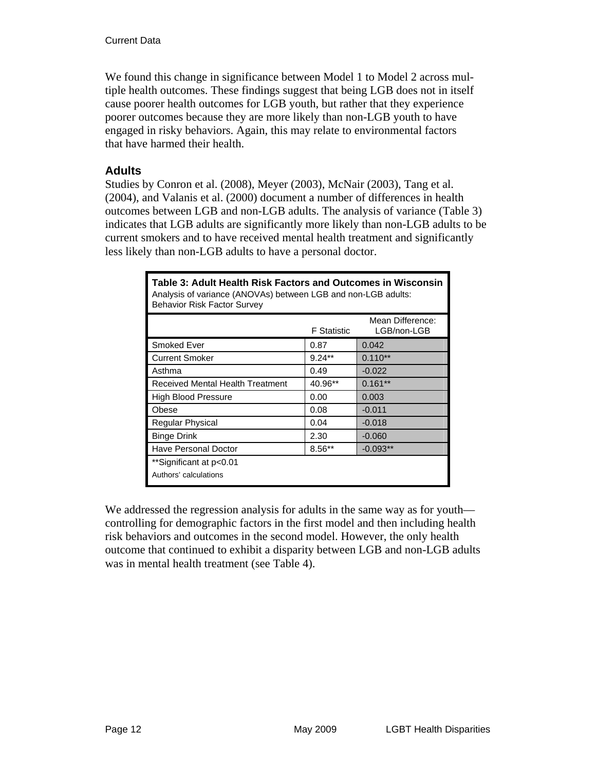We found this change in significance between Model 1 to Model 2 across multiple health outcomes. These findings suggest that being LGB does not in itself cause poorer health outcomes for LGB youth, but rather that they experience poorer outcomes because they are more likely than non-LGB youth to have engaged in risky behaviors. Again, this may relate to environmental factors that have harmed their health.

#### **Adults**

Studies by Conron et al. (2008), Meyer (2003), McNair (2003), Tang et al. (2004), and Valanis et al. (2000) document a number of differences in health outcomes between LGB and non-LGB adults. The analysis of variance (Table 3) indicates that LGB adults are significantly more likely than non-LGB adults to be current smokers and to have received mental health treatment and significantly less likely than non-LGB adults to have a personal doctor.

| Table 3: Adult Health Risk Factors and Outcomes in Wisconsin<br>Analysis of variance (ANOVAs) between LGB and non-LGB adults:<br><b>Behavior Risk Factor Survey</b> |                    |                                 |  |  |
|---------------------------------------------------------------------------------------------------------------------------------------------------------------------|--------------------|---------------------------------|--|--|
|                                                                                                                                                                     | <b>F</b> Statistic | Mean Difference:<br>LGB/non-LGB |  |  |
| Smoked Ever                                                                                                                                                         | 0.87               | 0.042                           |  |  |
| <b>Current Smoker</b>                                                                                                                                               | $9.24**$           | $0.110**$                       |  |  |
| Asthma                                                                                                                                                              | 0.49               | $-0.022$                        |  |  |
| Received Mental Health Treatment                                                                                                                                    | 40.96**            | $0.161**$                       |  |  |
| <b>High Blood Pressure</b>                                                                                                                                          | 0.00               | 0.003                           |  |  |
| Obese                                                                                                                                                               | 0.08               | $-0.011$                        |  |  |
| Regular Physical                                                                                                                                                    | 0.04               | $-0.018$                        |  |  |
| <b>Binge Drink</b>                                                                                                                                                  | 2.30               | $-0.060$                        |  |  |
| <b>Have Personal Doctor</b>                                                                                                                                         | $8.56**$           | $-0.093**$                      |  |  |
| **Significant at p<0.01<br>Authors' calculations                                                                                                                    |                    |                                 |  |  |

We addressed the regression analysis for adults in the same way as for youth controlling for demographic factors in the first model and then including health risk behaviors and outcomes in the second model. However, the only health outcome that continued to exhibit a disparity between LGB and non-LGB adults was in mental health treatment (see Table 4).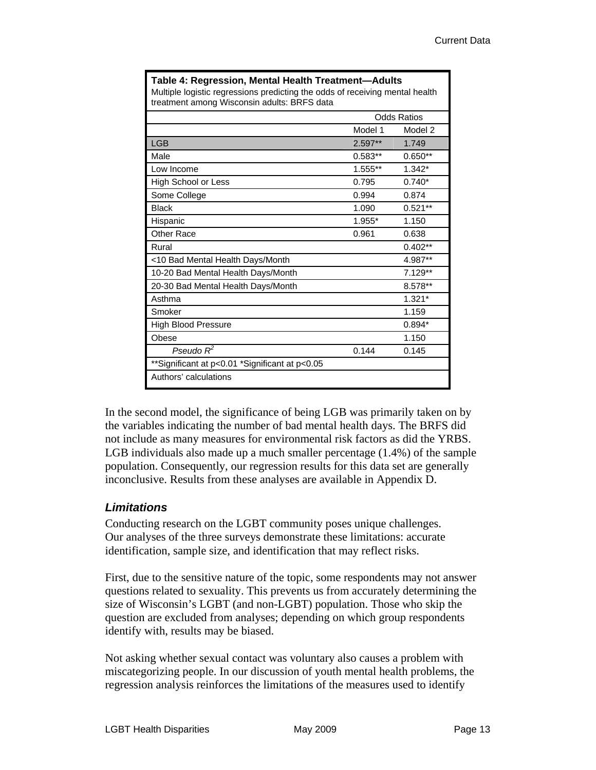| Table 4: Regression, Mental Health Treatment—Adults<br>Multiple logistic regressions predicting the odds of receiving mental health<br>treatment among Wisconsin adults: BRFS data |           |                    |  |
|------------------------------------------------------------------------------------------------------------------------------------------------------------------------------------|-----------|--------------------|--|
|                                                                                                                                                                                    |           | <b>Odds Ratios</b> |  |
|                                                                                                                                                                                    | Model 1   | Model 2            |  |
| <b>LGB</b>                                                                                                                                                                         | $2.597**$ | 1.749              |  |
| Male                                                                                                                                                                               | $0.583**$ | $0.650**$          |  |
| Low Income                                                                                                                                                                         | $1.555**$ | $1.342*$           |  |
| High School or Less                                                                                                                                                                | 0.795     | $0.740*$           |  |
| Some College                                                                                                                                                                       | 0.994     | 0.874              |  |
| <b>Black</b>                                                                                                                                                                       | 1.090     | $0.521**$          |  |
| Hispanic                                                                                                                                                                           | 1.955*    | 1.150              |  |
| <b>Other Race</b>                                                                                                                                                                  | 0.961     | 0.638              |  |
| Rural                                                                                                                                                                              |           | $0.402**$          |  |
| <10 Bad Mental Health Days/Month                                                                                                                                                   |           | 4.987**            |  |
| 10-20 Bad Mental Health Days/Month                                                                                                                                                 |           | 7.129**            |  |
| 20-30 Bad Mental Health Days/Month                                                                                                                                                 |           | 8.578**            |  |
| Asthma                                                                                                                                                                             |           | $1.321*$           |  |
| Smoker                                                                                                                                                                             |           | 1.159              |  |
| <b>High Blood Pressure</b>                                                                                                                                                         |           | $0.894*$           |  |
| Obese                                                                                                                                                                              |           | 1.150              |  |
| Pseudo $R^2$                                                                                                                                                                       | 0.144     | 0.145              |  |
| **Significant at p<0.01 *Significant at p<0.05                                                                                                                                     |           |                    |  |
| Authors' calculations                                                                                                                                                              |           |                    |  |

In the second model, the significance of being LGB was primarily taken on by the variables indicating the number of bad mental health days. The BRFS did not include as many measures for environmental risk factors as did the YRBS. LGB individuals also made up a much smaller percentage (1.4%) of the sample population. Consequently, our regression results for this data set are generally inconclusive. Results from these analyses are available in Appendix D.

### *Limitations*

Conducting research on the LGBT community poses unique challenges. Our analyses of the three surveys demonstrate these limitations: accurate identification, sample size, and identification that may reflect risks.

First, due to the sensitive nature of the topic, some respondents may not answer questions related to sexuality. This prevents us from accurately determining the size of Wisconsin's LGBT (and non-LGBT) population. Those who skip the question are excluded from analyses; depending on which group respondents identify with, results may be biased.

Not asking whether sexual contact was voluntary also causes a problem with miscategorizing people. In our discussion of youth mental health problems, the regression analysis reinforces the limitations of the measures used to identify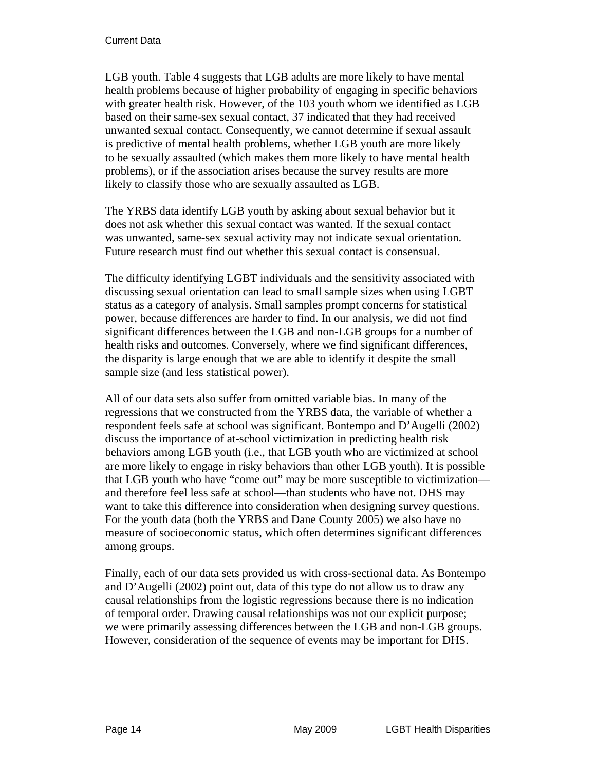#### Current Data

LGB youth. Table 4 suggests that LGB adults are more likely to have mental health problems because of higher probability of engaging in specific behaviors with greater health risk. However, of the 103 youth whom we identified as LGB based on their same-sex sexual contact, 37 indicated that they had received unwanted sexual contact. Consequently, we cannot determine if sexual assault is predictive of mental health problems, whether LGB youth are more likely to be sexually assaulted (which makes them more likely to have mental health problems), or if the association arises because the survey results are more likely to classify those who are sexually assaulted as LGB.

The YRBS data identify LGB youth by asking about sexual behavior but it does not ask whether this sexual contact was wanted. If the sexual contact was unwanted, same-sex sexual activity may not indicate sexual orientation. Future research must find out whether this sexual contact is consensual.

The difficulty identifying LGBT individuals and the sensitivity associated with discussing sexual orientation can lead to small sample sizes when using LGBT status as a category of analysis. Small samples prompt concerns for statistical power, because differences are harder to find. In our analysis, we did not find significant differences between the LGB and non-LGB groups for a number of health risks and outcomes. Conversely, where we find significant differences, the disparity is large enough that we are able to identify it despite the small sample size (and less statistical power).

All of our data sets also suffer from omitted variable bias. In many of the regressions that we constructed from the YRBS data, the variable of whether a respondent feels safe at school was significant. Bontempo and D'Augelli (2002) discuss the importance of at-school victimization in predicting health risk behaviors among LGB youth (i.e., that LGB youth who are victimized at school are more likely to engage in risky behaviors than other LGB youth). It is possible that LGB youth who have "come out" may be more susceptible to victimization and therefore feel less safe at school—than students who have not. DHS may want to take this difference into consideration when designing survey questions. For the youth data (both the YRBS and Dane County 2005) we also have no measure of socioeconomic status, which often determines significant differences among groups.

Finally, each of our data sets provided us with cross-sectional data. As Bontempo and D'Augelli (2002) point out, data of this type do not allow us to draw any causal relationships from the logistic regressions because there is no indication of temporal order. Drawing causal relationships was not our explicit purpose; we were primarily assessing differences between the LGB and non-LGB groups. However, consideration of the sequence of events may be important for DHS.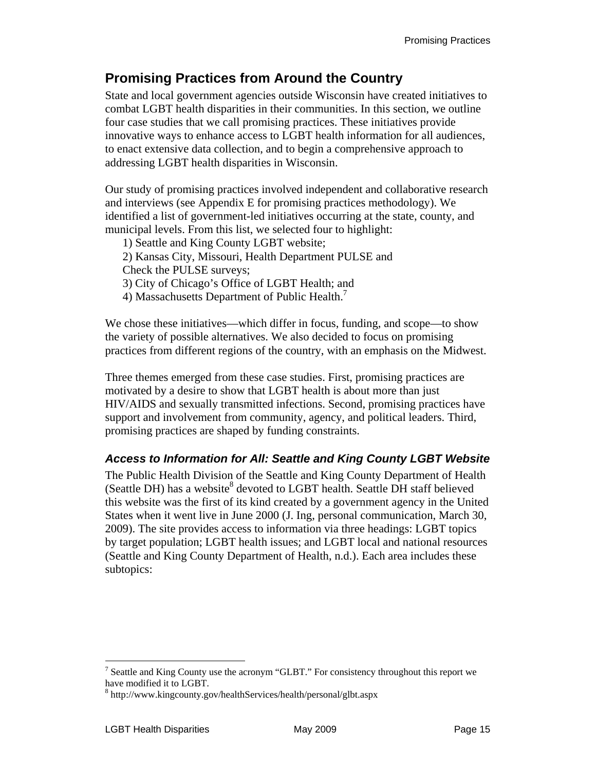# **Promising Practices from Around the Country**

State and local government agencies outside Wisconsin have created initiatives to combat LGBT health disparities in their communities. In this section, we outline four case studies that we call promising practices. These initiatives provide innovative ways to enhance access to LGBT health information for all audiences, to enact extensive data collection, and to begin a comprehensive approach to addressing LGBT health disparities in Wisconsin.

Our study of promising practices involved independent and collaborative research and interviews (see Appendix E for promising practices methodology). We identified a list of government-led initiatives occurring at the state, county, and municipal levels. From this list, we selected four to highlight:

1) Seattle and King County LGBT website; 2) Kansas City, Missouri, Health Department PULSE and Check the PULSE surveys; 3) City of Chicago's Office of LGBT Health; and 4) Massachusetts Department of Public Health.<sup>7</sup>

We chose these initiatives—which differ in focus, funding, and scope—to show the variety of possible alternatives. We also decided to focus on promising practices from different regions of the country, with an emphasis on the Midwest.

Three themes emerged from these case studies. First, promising practices are motivated by a desire to show that LGBT health is about more than just HIV/AIDS and sexually transmitted infections. Second, promising practices have support and involvement from community, agency, and political leaders. Third, promising practices are shaped by funding constraints.

### *Access to Information for All: Seattle and King County LGBT Website*

The Public Health Division of the Seattle and King County Department of Health (Seattle DH) has a website<sup>8</sup> devoted to LGBT health. Seattle DH staff believed this website was the first of its kind created by a government agency in the United States when it went live in June 2000 (J. Ing, personal communication, March 30, 2009). The site provides access to information via three headings: LGBT topics by target population; LGBT health issues; and LGBT local and national resources (Seattle and King County Department of Health, n.d.). Each area includes these subtopics:

<sup>1</sup> <sup>7</sup> Seattle and King County use the acronym "GLBT." For consistency throughout this report we have modified it to LGBT.

<sup>8</sup> http://www.kingcounty.gov/healthServices/health/personal/glbt.aspx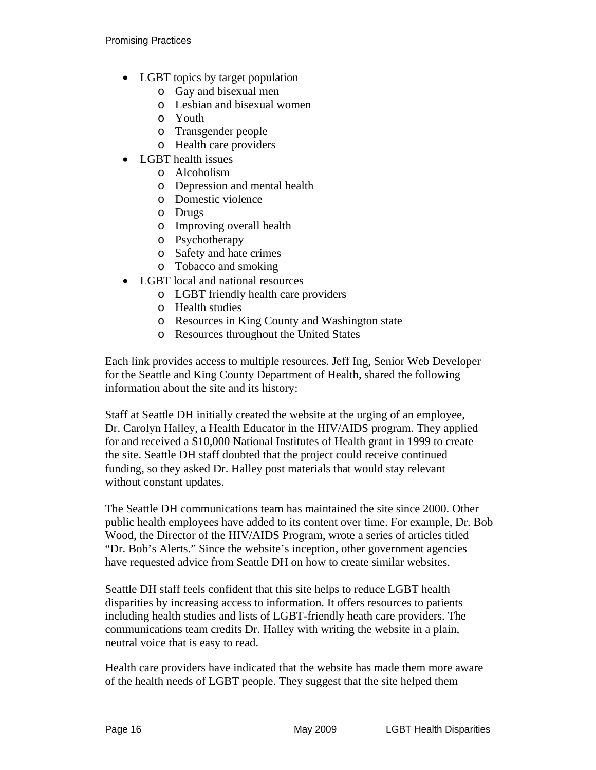- LGBT topics by target population
	- o Gay and bisexual men
	- o Lesbian and bisexual women
	- o Youth
	- o Transgender people
	- o Health care providers
- LGBT health issues
	- o Alcoholism
	- o Depression and mental health
	- o Domestic violence
	- o Drugs
	- o Improving overall health
	- o Psychotherapy
	- o Safety and hate crimes
	- o Tobacco and smoking
- LGBT local and national resources
	- o LGBT friendly health care providers
	- o Health studies
	- o Resources in King County and Washington state
	- o Resources throughout the United States

Each link provides access to multiple resources. Jeff Ing, Senior Web Developer for the Seattle and King County Department of Health, shared the following information about the site and its history:

Staff at Seattle DH initially created the website at the urging of an employee, Dr. Carolyn Halley, a Health Educator in the HIV/AIDS program. They applied for and received a \$10,000 National Institutes of Health grant in 1999 to create the site. Seattle DH staff doubted that the project could receive continued funding, so they asked Dr. Halley post materials that would stay relevant without constant updates.

The Seattle DH communications team has maintained the site since 2000. Other public health employees have added to its content over time. For example, Dr. Bob Wood, the Director of the HIV/AIDS Program, wrote a series of articles titled "Dr. Bob's Alerts." Since the website's inception, other government agencies have requested advice from Seattle DH on how to create similar websites.

Seattle DH staff feels confident that this site helps to reduce LGBT health disparities by increasing access to information. It offers resources to patients including health studies and lists of LGBT-friendly heath care providers. The communications team credits Dr. Halley with writing the website in a plain, neutral voice that is easy to read.

Health care providers have indicated that the website has made them more aware of the health needs of LGBT people. They suggest that the site helped them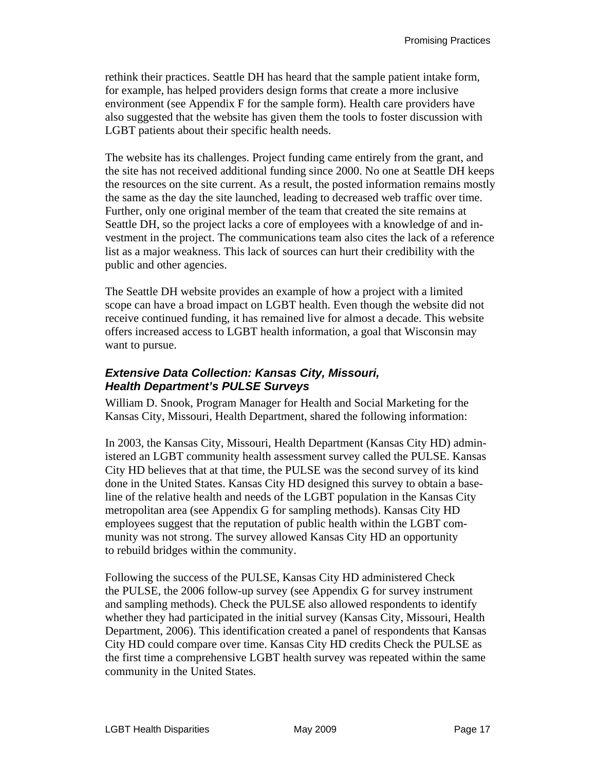rethink their practices. Seattle DH has heard that the sample patient intake form, for example, has helped providers design forms that create a more inclusive environment (see Appendix F for the sample form). Health care providers have also suggested that the website has given them the tools to foster discussion with LGBT patients about their specific health needs.

The website has its challenges. Project funding came entirely from the grant, and the site has not received additional funding since 2000. No one at Seattle DH keeps the resources on the site current. As a result, the posted information remains mostly the same as the day the site launched, leading to decreased web traffic over time. Further, only one original member of the team that created the site remains at Seattle DH, so the project lacks a core of employees with a knowledge of and investment in the project. The communications team also cites the lack of a reference list as a major weakness. This lack of sources can hurt their credibility with the public and other agencies.

The Seattle DH website provides an example of how a project with a limited scope can have a broad impact on LGBT health. Even though the website did not receive continued funding, it has remained live for almost a decade. This website offers increased access to LGBT health information, a goal that Wisconsin may want to pursue.

### *Extensive Data Collection: Kansas City, Missouri, Health Department's PULSE Surveys*

William D. Snook, Program Manager for Health and Social Marketing for the Kansas City, Missouri, Health Department, shared the following information:

In 2003, the Kansas City, Missouri, Health Department (Kansas City HD) administered an LGBT community health assessment survey called the PULSE. Kansas City HD believes that at that time, the PULSE was the second survey of its kind done in the United States. Kansas City HD designed this survey to obtain a baseline of the relative health and needs of the LGBT population in the Kansas City metropolitan area (see Appendix G for sampling methods). Kansas City HD employees suggest that the reputation of public health within the LGBT community was not strong. The survey allowed Kansas City HD an opportunity to rebuild bridges within the community.

Following the success of the PULSE, Kansas City HD administered Check the PULSE, the 2006 follow-up survey (see Appendix G for survey instrument and sampling methods). Check the PULSE also allowed respondents to identify whether they had participated in the initial survey (Kansas City, Missouri, Health Department, 2006). This identification created a panel of respondents that Kansas City HD could compare over time. Kansas City HD credits Check the PULSE as the first time a comprehensive LGBT health survey was repeated within the same community in the United States.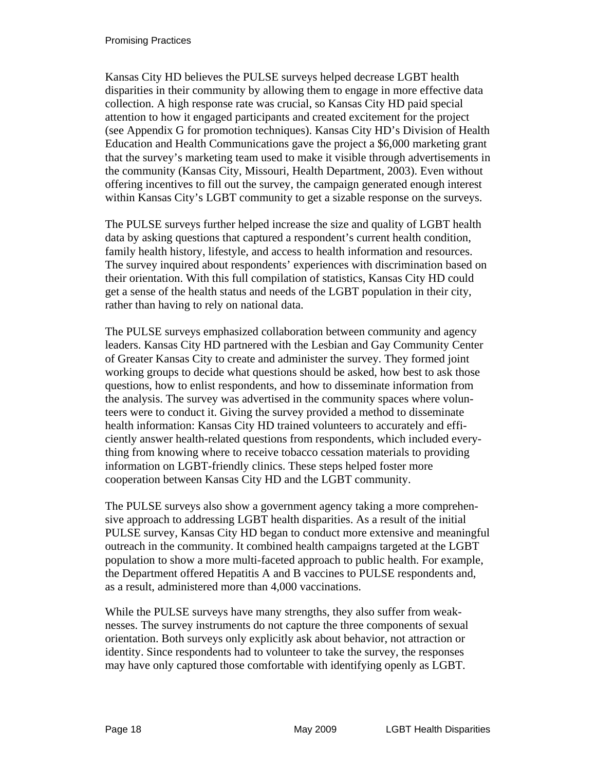Kansas City HD believes the PULSE surveys helped decrease LGBT health disparities in their community by allowing them to engage in more effective data collection. A high response rate was crucial, so Kansas City HD paid special attention to how it engaged participants and created excitement for the project (see Appendix G for promotion techniques). Kansas City HD's Division of Health Education and Health Communications gave the project a \$6,000 marketing grant that the survey's marketing team used to make it visible through advertisements in the community (Kansas City, Missouri, Health Department, 2003). Even without offering incentives to fill out the survey, the campaign generated enough interest within Kansas City's LGBT community to get a sizable response on the surveys.

The PULSE surveys further helped increase the size and quality of LGBT health data by asking questions that captured a respondent's current health condition, family health history, lifestyle, and access to health information and resources. The survey inquired about respondents' experiences with discrimination based on their orientation. With this full compilation of statistics, Kansas City HD could get a sense of the health status and needs of the LGBT population in their city, rather than having to rely on national data.

The PULSE surveys emphasized collaboration between community and agency leaders. Kansas City HD partnered with the Lesbian and Gay Community Center of Greater Kansas City to create and administer the survey. They formed joint working groups to decide what questions should be asked, how best to ask those questions, how to enlist respondents, and how to disseminate information from the analysis. The survey was advertised in the community spaces where volunteers were to conduct it. Giving the survey provided a method to disseminate health information: Kansas City HD trained volunteers to accurately and efficiently answer health-related questions from respondents, which included everything from knowing where to receive tobacco cessation materials to providing information on LGBT-friendly clinics. These steps helped foster more cooperation between Kansas City HD and the LGBT community.

The PULSE surveys also show a government agency taking a more comprehensive approach to addressing LGBT health disparities. As a result of the initial PULSE survey, Kansas City HD began to conduct more extensive and meaningful outreach in the community. It combined health campaigns targeted at the LGBT population to show a more multi-faceted approach to public health. For example, the Department offered Hepatitis A and B vaccines to PULSE respondents and, as a result, administered more than 4,000 vaccinations.

While the PULSE surveys have many strengths, they also suffer from weaknesses. The survey instruments do not capture the three components of sexual orientation. Both surveys only explicitly ask about behavior, not attraction or identity. Since respondents had to volunteer to take the survey, the responses may have only captured those comfortable with identifying openly as LGBT.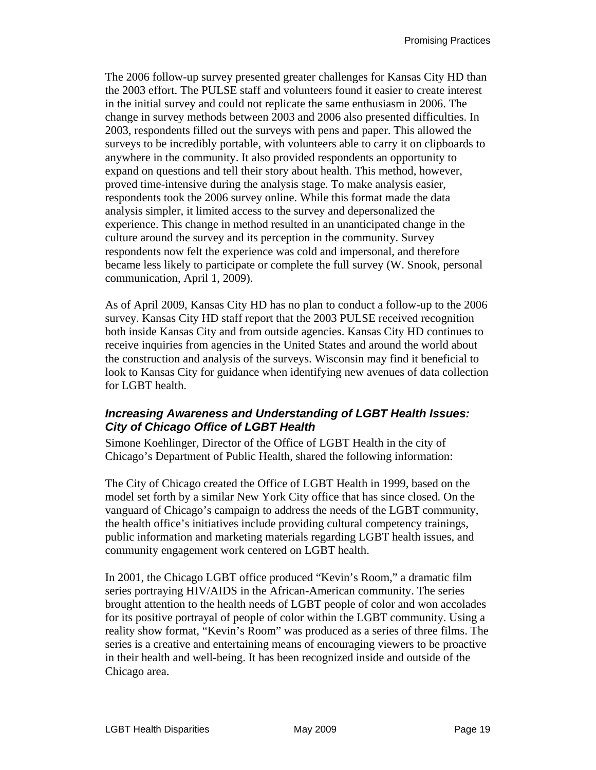The 2006 follow-up survey presented greater challenges for Kansas City HD than the 2003 effort. The PULSE staff and volunteers found it easier to create interest in the initial survey and could not replicate the same enthusiasm in 2006. The change in survey methods between 2003 and 2006 also presented difficulties. In 2003, respondents filled out the surveys with pens and paper. This allowed the surveys to be incredibly portable, with volunteers able to carry it on clipboards to anywhere in the community. It also provided respondents an opportunity to expand on questions and tell their story about health. This method, however, proved time-intensive during the analysis stage. To make analysis easier, respondents took the 2006 survey online. While this format made the data analysis simpler, it limited access to the survey and depersonalized the experience. This change in method resulted in an unanticipated change in the culture around the survey and its perception in the community. Survey respondents now felt the experience was cold and impersonal, and therefore became less likely to participate or complete the full survey (W. Snook, personal communication, April 1, 2009).

As of April 2009, Kansas City HD has no plan to conduct a follow-up to the 2006 survey. Kansas City HD staff report that the 2003 PULSE received recognition both inside Kansas City and from outside agencies. Kansas City HD continues to receive inquiries from agencies in the United States and around the world about the construction and analysis of the surveys. Wisconsin may find it beneficial to look to Kansas City for guidance when identifying new avenues of data collection for LGBT health.

### *Increasing Awareness and Understanding of LGBT Health Issues: City of Chicago Office of LGBT Health*

Simone Koehlinger, Director of the Office of LGBT Health in the city of Chicago's Department of Public Health, shared the following information:

The City of Chicago created the Office of LGBT Health in 1999, based on the model set forth by a similar New York City office that has since closed. On the vanguard of Chicago's campaign to address the needs of the LGBT community, the health office's initiatives include providing cultural competency trainings, public information and marketing materials regarding LGBT health issues, and community engagement work centered on LGBT health.

In 2001, the Chicago LGBT office produced "Kevin's Room," a dramatic film series portraying HIV/AIDS in the African-American community. The series brought attention to the health needs of LGBT people of color and won accolades for its positive portrayal of people of color within the LGBT community. Using a reality show format, "Kevin's Room" was produced as a series of three films. The series is a creative and entertaining means of encouraging viewers to be proactive in their health and well-being. It has been recognized inside and outside of the Chicago area.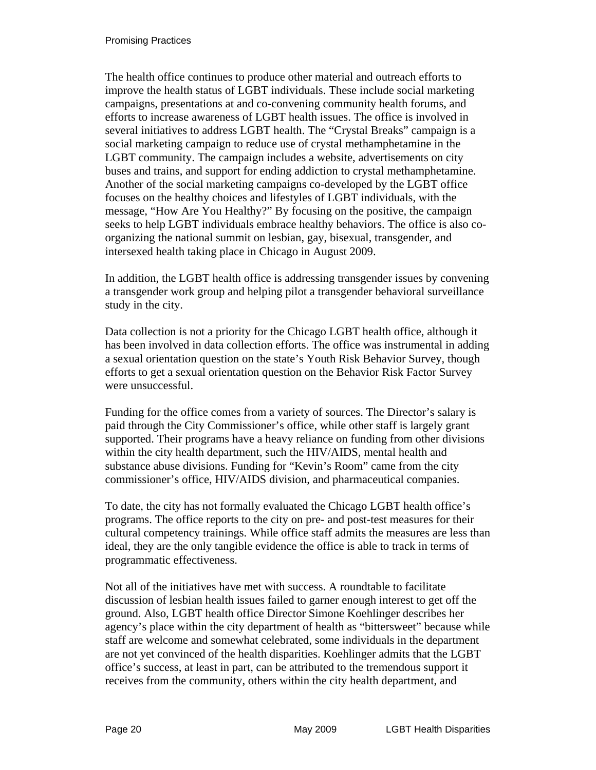The health office continues to produce other material and outreach efforts to improve the health status of LGBT individuals. These include social marketing campaigns, presentations at and co-convening community health forums, and efforts to increase awareness of LGBT health issues. The office is involved in several initiatives to address LGBT health. The "Crystal Breaks" campaign is a social marketing campaign to reduce use of crystal methamphetamine in the LGBT community. The campaign includes a website, advertisements on city buses and trains, and support for ending addiction to crystal methamphetamine. Another of the social marketing campaigns co-developed by the LGBT office focuses on the healthy choices and lifestyles of LGBT individuals, with the message, "How Are You Healthy?" By focusing on the positive, the campaign seeks to help LGBT individuals embrace healthy behaviors. The office is also coorganizing the national summit on lesbian, gay, bisexual, transgender, and intersexed health taking place in Chicago in August 2009.

In addition, the LGBT health office is addressing transgender issues by convening a transgender work group and helping pilot a transgender behavioral surveillance study in the city.

Data collection is not a priority for the Chicago LGBT health office, although it has been involved in data collection efforts. The office was instrumental in adding a sexual orientation question on the state's Youth Risk Behavior Survey, though efforts to get a sexual orientation question on the Behavior Risk Factor Survey were unsuccessful.

Funding for the office comes from a variety of sources. The Director's salary is paid through the City Commissioner's office, while other staff is largely grant supported. Their programs have a heavy reliance on funding from other divisions within the city health department, such the HIV/AIDS, mental health and substance abuse divisions. Funding for "Kevin's Room" came from the city commissioner's office, HIV/AIDS division, and pharmaceutical companies.

To date, the city has not formally evaluated the Chicago LGBT health office's programs. The office reports to the city on pre- and post-test measures for their cultural competency trainings. While office staff admits the measures are less than ideal, they are the only tangible evidence the office is able to track in terms of programmatic effectiveness.

Not all of the initiatives have met with success. A roundtable to facilitate discussion of lesbian health issues failed to garner enough interest to get off the ground. Also, LGBT health office Director Simone Koehlinger describes her agency's place within the city department of health as "bittersweet" because while staff are welcome and somewhat celebrated, some individuals in the department are not yet convinced of the health disparities. Koehlinger admits that the LGBT office's success, at least in part, can be attributed to the tremendous support it receives from the community, others within the city health department, and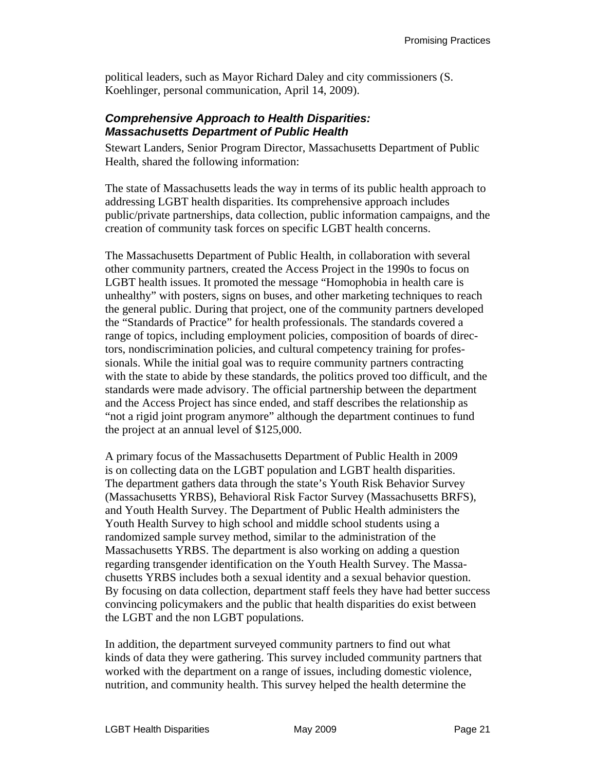political leaders, such as Mayor Richard Daley and city commissioners (S. Koehlinger, personal communication, April 14, 2009).

#### *Comprehensive Approach to Health Disparities: Massachusetts Department of Public Health*

Stewart Landers, Senior Program Director, Massachusetts Department of Public Health, shared the following information:

The state of Massachusetts leads the way in terms of its public health approach to addressing LGBT health disparities. Its comprehensive approach includes public/private partnerships, data collection, public information campaigns, and the creation of community task forces on specific LGBT health concerns.

The Massachusetts Department of Public Health, in collaboration with several other community partners, created the Access Project in the 1990s to focus on LGBT health issues. It promoted the message "Homophobia in health care is unhealthy" with posters, signs on buses, and other marketing techniques to reach the general public. During that project, one of the community partners developed the "Standards of Practice" for health professionals. The standards covered a range of topics, including employment policies, composition of boards of directors, nondiscrimination policies, and cultural competency training for professionals. While the initial goal was to require community partners contracting with the state to abide by these standards, the politics proved too difficult, and the standards were made advisory. The official partnership between the department and the Access Project has since ended, and staff describes the relationship as "not a rigid joint program anymore" although the department continues to fund the project at an annual level of \$125,000.

A primary focus of the Massachusetts Department of Public Health in 2009 is on collecting data on the LGBT population and LGBT health disparities. The department gathers data through the state's Youth Risk Behavior Survey (Massachusetts YRBS), Behavioral Risk Factor Survey (Massachusetts BRFS), and Youth Health Survey. The Department of Public Health administers the Youth Health Survey to high school and middle school students using a randomized sample survey method, similar to the administration of the Massachusetts YRBS. The department is also working on adding a question regarding transgender identification on the Youth Health Survey. The Massachusetts YRBS includes both a sexual identity and a sexual behavior question. By focusing on data collection, department staff feels they have had better success convincing policymakers and the public that health disparities do exist between the LGBT and the non LGBT populations.

In addition, the department surveyed community partners to find out what kinds of data they were gathering. This survey included community partners that worked with the department on a range of issues, including domestic violence, nutrition, and community health. This survey helped the health determine the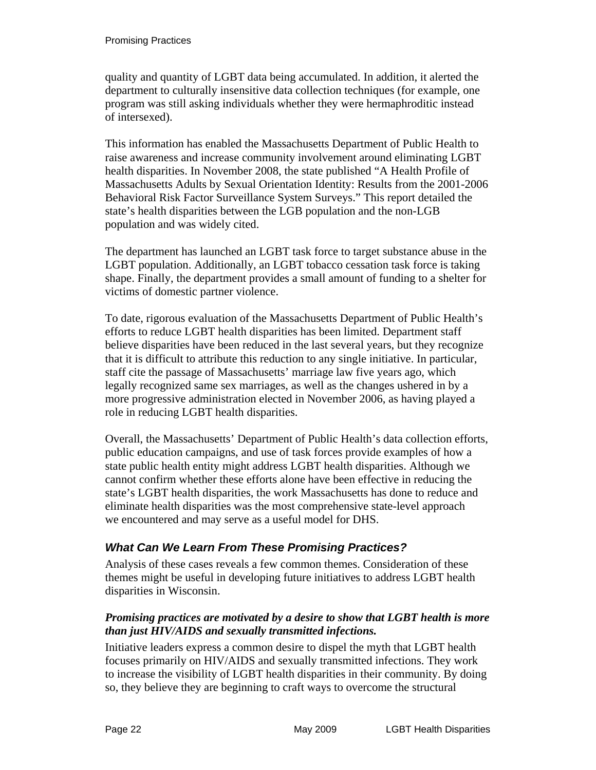quality and quantity of LGBT data being accumulated. In addition, it alerted the department to culturally insensitive data collection techniques (for example, one program was still asking individuals whether they were hermaphroditic instead of intersexed).

This information has enabled the Massachusetts Department of Public Health to raise awareness and increase community involvement around eliminating LGBT health disparities. In November 2008, the state published "A Health Profile of Massachusetts Adults by Sexual Orientation Identity: Results from the 2001-2006 Behavioral Risk Factor Surveillance System Surveys." This report detailed the state's health disparities between the LGB population and the non-LGB population and was widely cited.

The department has launched an LGBT task force to target substance abuse in the LGBT population. Additionally, an LGBT tobacco cessation task force is taking shape. Finally, the department provides a small amount of funding to a shelter for victims of domestic partner violence.

To date, rigorous evaluation of the Massachusetts Department of Public Health's efforts to reduce LGBT health disparities has been limited. Department staff believe disparities have been reduced in the last several years, but they recognize that it is difficult to attribute this reduction to any single initiative. In particular, staff cite the passage of Massachusetts' marriage law five years ago, which legally recognized same sex marriages, as well as the changes ushered in by a more progressive administration elected in November 2006, as having played a role in reducing LGBT health disparities.

Overall, the Massachusetts' Department of Public Health's data collection efforts, public education campaigns, and use of task forces provide examples of how a state public health entity might address LGBT health disparities. Although we cannot confirm whether these efforts alone have been effective in reducing the state's LGBT health disparities, the work Massachusetts has done to reduce and eliminate health disparities was the most comprehensive state-level approach we encountered and may serve as a useful model for DHS.

### *What Can We Learn From These Promising Practices?*

Analysis of these cases reveals a few common themes. Consideration of these themes might be useful in developing future initiatives to address LGBT health disparities in Wisconsin.

#### *Promising practices are motivated by a desire to show that LGBT health is more than just HIV/AIDS and sexually transmitted infections.*

Initiative leaders express a common desire to dispel the myth that LGBT health focuses primarily on HIV/AIDS and sexually transmitted infections. They work to increase the visibility of LGBT health disparities in their community. By doing so, they believe they are beginning to craft ways to overcome the structural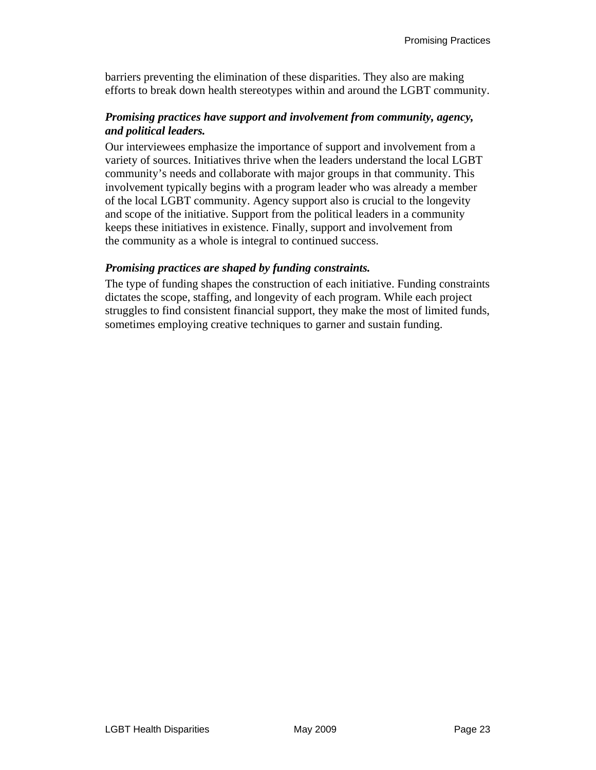barriers preventing the elimination of these disparities. They also are making efforts to break down health stereotypes within and around the LGBT community.

#### *Promising practices have support and involvement from community, agency, and political leaders.*

Our interviewees emphasize the importance of support and involvement from a variety of sources. Initiatives thrive when the leaders understand the local LGBT community's needs and collaborate with major groups in that community. This involvement typically begins with a program leader who was already a member of the local LGBT community. Agency support also is crucial to the longevity and scope of the initiative. Support from the political leaders in a community keeps these initiatives in existence. Finally, support and involvement from the community as a whole is integral to continued success.

#### *Promising practices are shaped by funding constraints.*

The type of funding shapes the construction of each initiative. Funding constraints dictates the scope, staffing, and longevity of each program. While each project struggles to find consistent financial support, they make the most of limited funds, sometimes employing creative techniques to garner and sustain funding.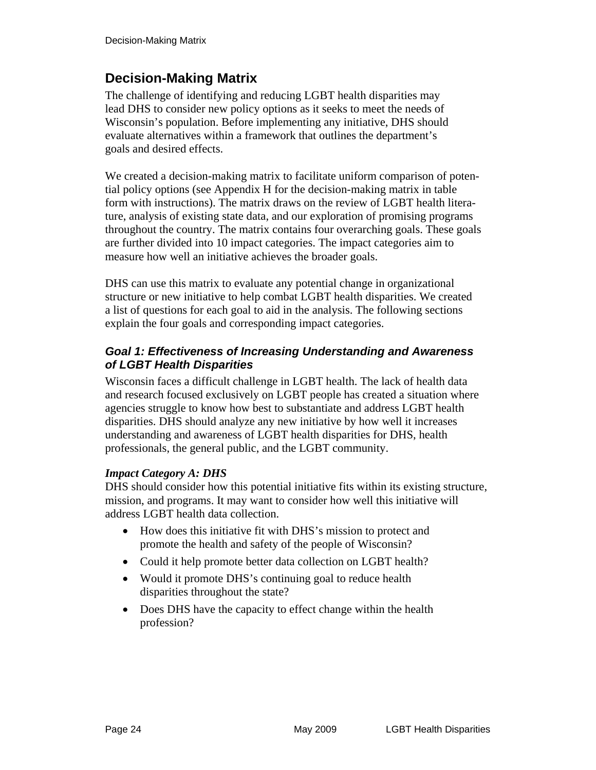# **Decision-Making Matrix**

The challenge of identifying and reducing LGBT health disparities may lead DHS to consider new policy options as it seeks to meet the needs of Wisconsin's population. Before implementing any initiative, DHS should evaluate alternatives within a framework that outlines the department's goals and desired effects.

We created a decision-making matrix to facilitate uniform comparison of potential policy options (see Appendix H for the decision-making matrix in table form with instructions). The matrix draws on the review of LGBT health literature, analysis of existing state data, and our exploration of promising programs throughout the country. The matrix contains four overarching goals. These goals are further divided into 10 impact categories. The impact categories aim to measure how well an initiative achieves the broader goals.

DHS can use this matrix to evaluate any potential change in organizational structure or new initiative to help combat LGBT health disparities. We created a list of questions for each goal to aid in the analysis. The following sections explain the four goals and corresponding impact categories.

#### *Goal 1: Effectiveness of Increasing Understanding and Awareness of LGBT Health Disparities*

Wisconsin faces a difficult challenge in LGBT health. The lack of health data and research focused exclusively on LGBT people has created a situation where agencies struggle to know how best to substantiate and address LGBT health disparities. DHS should analyze any new initiative by how well it increases understanding and awareness of LGBT health disparities for DHS, health professionals, the general public, and the LGBT community.

#### *Impact Category A: DHS*

DHS should consider how this potential initiative fits within its existing structure, mission, and programs. It may want to consider how well this initiative will address LGBT health data collection.

- How does this initiative fit with DHS's mission to protect and promote the health and safety of the people of Wisconsin?
- Could it help promote better data collection on LGBT health?
- Would it promote DHS's continuing goal to reduce health disparities throughout the state?
- Does DHS have the capacity to effect change within the health profession?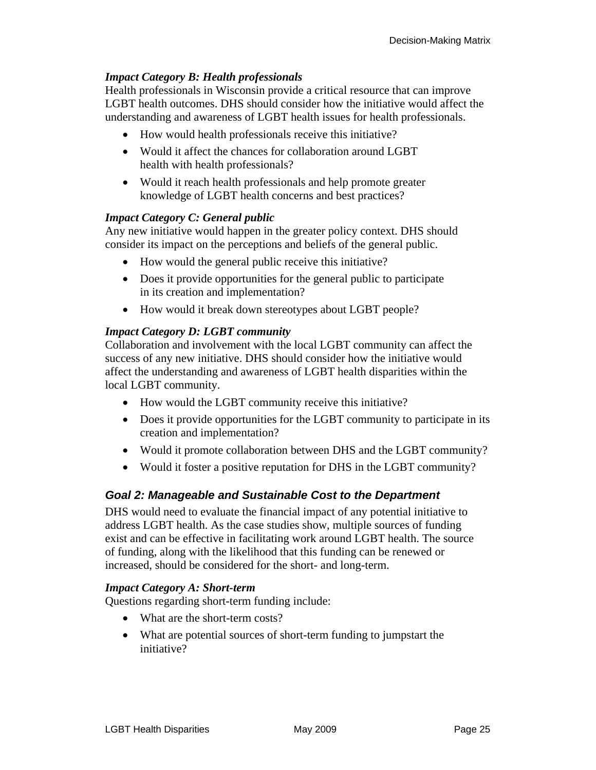#### *Impact Category B: Health professionals*

Health professionals in Wisconsin provide a critical resource that can improve LGBT health outcomes. DHS should consider how the initiative would affect the understanding and awareness of LGBT health issues for health professionals.

- How would health professionals receive this initiative?
- Would it affect the chances for collaboration around LGBT health with health professionals?
- Would it reach health professionals and help promote greater knowledge of LGBT health concerns and best practices?

#### *Impact Category C: General public*

Any new initiative would happen in the greater policy context. DHS should consider its impact on the perceptions and beliefs of the general public.

- How would the general public receive this initiative?
- Does it provide opportunities for the general public to participate in its creation and implementation?
- How would it break down stereotypes about LGBT people?

#### *Impact Category D: LGBT community*

Collaboration and involvement with the local LGBT community can affect the success of any new initiative. DHS should consider how the initiative would affect the understanding and awareness of LGBT health disparities within the local LGBT community.

- How would the LGBT community receive this initiative?
- Does it provide opportunities for the LGBT community to participate in its creation and implementation?
- Would it promote collaboration between DHS and the LGBT community?
- Would it foster a positive reputation for DHS in the LGBT community?

### *Goal 2: Manageable and Sustainable Cost to the Department*

DHS would need to evaluate the financial impact of any potential initiative to address LGBT health. As the case studies show, multiple sources of funding exist and can be effective in facilitating work around LGBT health. The source of funding, along with the likelihood that this funding can be renewed or increased, should be considered for the short- and long-term.

#### *Impact Category A: Short-term*

Questions regarding short-term funding include:

- What are the short-term costs?
- What are potential sources of short-term funding to jumpstart the initiative?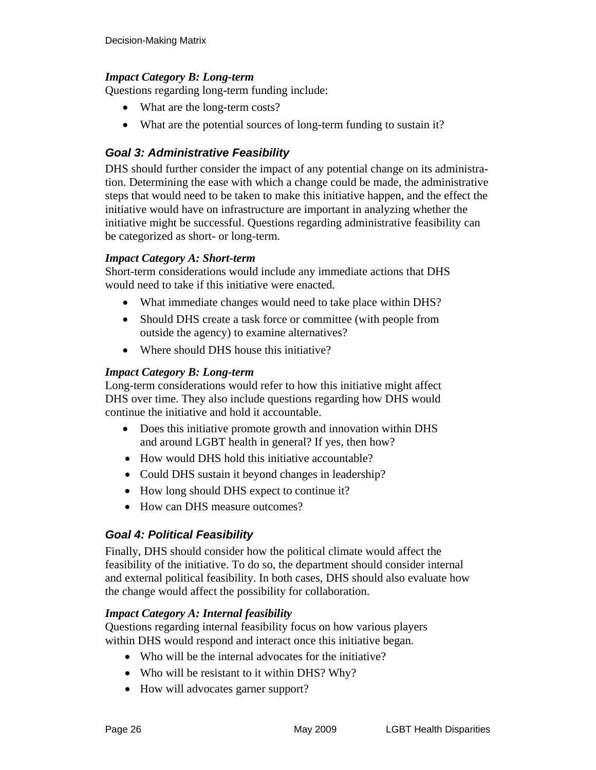#### *Impact Category B: Long-term*

Questions regarding long-term funding include:

- What are the long-term costs?
- What are the potential sources of long-term funding to sustain it?

### *Goal 3: Administrative Feasibility*

DHS should further consider the impact of any potential change on its administration. Determining the ease with which a change could be made, the administrative steps that would need to be taken to make this initiative happen, and the effect the initiative would have on infrastructure are important in analyzing whether the initiative might be successful. Questions regarding administrative feasibility can be categorized as short- or long-term.

#### *Impact Category A: Short-term*

Short-term considerations would include any immediate actions that DHS would need to take if this initiative were enacted.

- What immediate changes would need to take place within DHS?
- Should DHS create a task force or committee (with people from outside the agency) to examine alternatives?
- Where should DHS house this initiative?

#### *Impact Category B: Long-term*

Long-term considerations would refer to how this initiative might affect DHS over time. They also include questions regarding how DHS would continue the initiative and hold it accountable.

- Does this initiative promote growth and innovation within DHS and around LGBT health in general? If yes, then how?
- How would DHS hold this initiative accountable?
- Could DHS sustain it beyond changes in leadership?
- How long should DHS expect to continue it?
- How can DHS measure outcomes?

### *Goal 4: Political Feasibility*

Finally, DHS should consider how the political climate would affect the feasibility of the initiative. To do so, the department should consider internal and external political feasibility. In both cases, DHS should also evaluate how the change would affect the possibility for collaboration.

#### *Impact Category A: Internal feasibility*

Questions regarding internal feasibility focus on how various players within DHS would respond and interact once this initiative began.

- Who will be the internal advocates for the initiative?
- Who will be resistant to it within DHS? Why?
- How will advocates garner support?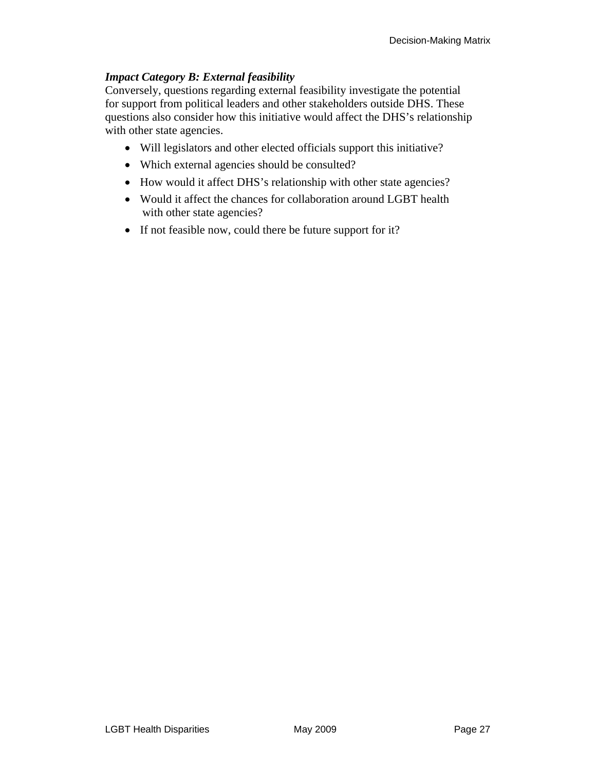#### *Impact Category B: External feasibility*

Conversely, questions regarding external feasibility investigate the potential for support from political leaders and other stakeholders outside DHS. These questions also consider how this initiative would affect the DHS's relationship with other state agencies.

- Will legislators and other elected officials support this initiative?
- Which external agencies should be consulted?
- How would it affect DHS's relationship with other state agencies?
- Would it affect the chances for collaboration around LGBT health with other state agencies?
- If not feasible now, could there be future support for it?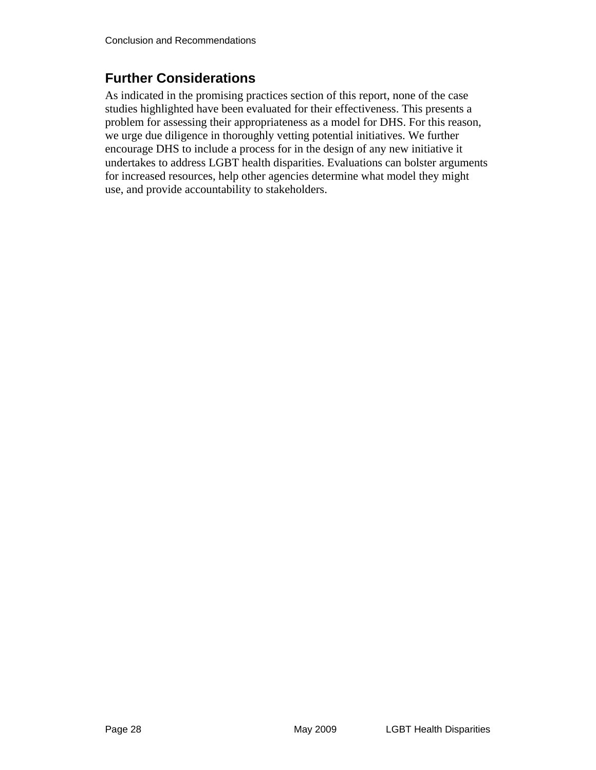# **Further Considerations**

As indicated in the promising practices section of this report, none of the case studies highlighted have been evaluated for their effectiveness. This presents a problem for assessing their appropriateness as a model for DHS. For this reason, we urge due diligence in thoroughly vetting potential initiatives. We further encourage DHS to include a process for in the design of any new initiative it undertakes to address LGBT health disparities. Evaluations can bolster arguments for increased resources, help other agencies determine what model they might use, and provide accountability to stakeholders.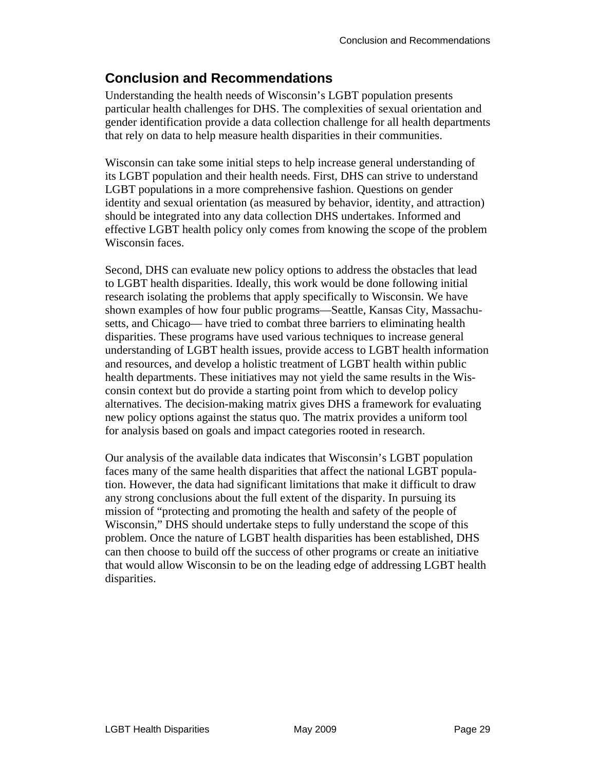# **Conclusion and Recommendations**

Understanding the health needs of Wisconsin's LGBT population presents particular health challenges for DHS. The complexities of sexual orientation and gender identification provide a data collection challenge for all health departments that rely on data to help measure health disparities in their communities.

Wisconsin can take some initial steps to help increase general understanding of its LGBT population and their health needs. First, DHS can strive to understand LGBT populations in a more comprehensive fashion. Questions on gender identity and sexual orientation (as measured by behavior, identity, and attraction) should be integrated into any data collection DHS undertakes. Informed and effective LGBT health policy only comes from knowing the scope of the problem Wisconsin faces.

Second, DHS can evaluate new policy options to address the obstacles that lead to LGBT health disparities. Ideally, this work would be done following initial research isolating the problems that apply specifically to Wisconsin. We have shown examples of how four public programs—Seattle, Kansas City, Massachusetts, and Chicago— have tried to combat three barriers to eliminating health disparities. These programs have used various techniques to increase general understanding of LGBT health issues, provide access to LGBT health information and resources, and develop a holistic treatment of LGBT health within public health departments. These initiatives may not yield the same results in the Wisconsin context but do provide a starting point from which to develop policy alternatives. The decision-making matrix gives DHS a framework for evaluating new policy options against the status quo. The matrix provides a uniform tool for analysis based on goals and impact categories rooted in research.

Our analysis of the available data indicates that Wisconsin's LGBT population faces many of the same health disparities that affect the national LGBT population. However, the data had significant limitations that make it difficult to draw any strong conclusions about the full extent of the disparity. In pursuing its mission of "protecting and promoting the health and safety of the people of Wisconsin," DHS should undertake steps to fully understand the scope of this problem. Once the nature of LGBT health disparities has been established, DHS can then choose to build off the success of other programs or create an initiative that would allow Wisconsin to be on the leading edge of addressing LGBT health disparities.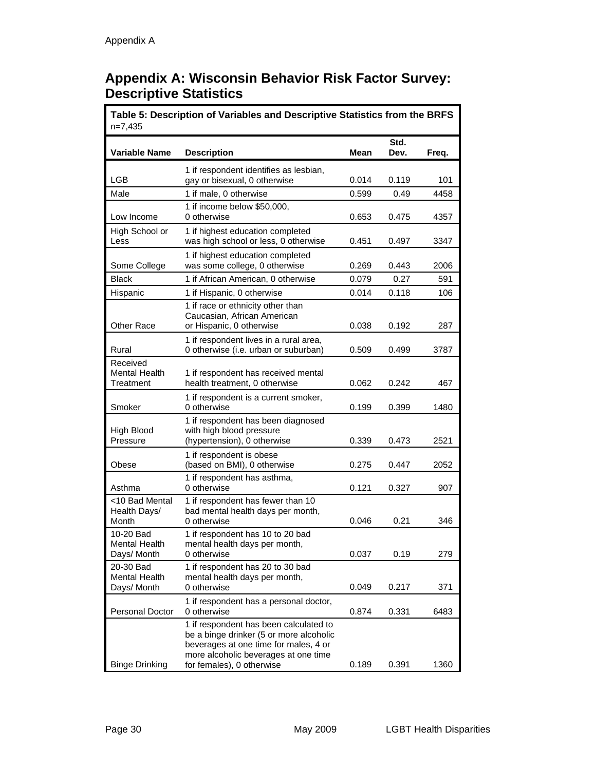# **Appendix A: Wisconsin Behavior Risk Factor Survey: Descriptive Statistics**

| Table 5: Description of Variables and Descriptive Statistics from the BRFS<br>$n=7,435$ |                                                                                                                                                                                                 |       |              |       |
|-----------------------------------------------------------------------------------------|-------------------------------------------------------------------------------------------------------------------------------------------------------------------------------------------------|-------|--------------|-------|
| <b>Variable Name</b>                                                                    | <b>Description</b>                                                                                                                                                                              | Mean  | Std.<br>Dev. | Freq. |
| LGB                                                                                     | 1 if respondent identifies as lesbian,<br>gay or bisexual, 0 otherwise                                                                                                                          | 0.014 | 0.119        | 101   |
| Male                                                                                    | 1 if male, 0 otherwise                                                                                                                                                                          | 0.599 | 0.49         | 4458  |
| Low Income                                                                              | 1 if income below \$50,000,<br>0 otherwise                                                                                                                                                      | 0.653 | 0.475        | 4357  |
| High School or<br>Less                                                                  | 1 if highest education completed<br>was high school or less, 0 otherwise                                                                                                                        | 0.451 | 0.497        | 3347  |
| Some College                                                                            | 1 if highest education completed<br>was some college, 0 otherwise                                                                                                                               | 0.269 | 0.443        | 2006  |
| Black                                                                                   | 1 if African American, 0 otherwise                                                                                                                                                              | 0.079 | 0.27         | 591   |
| Hispanic                                                                                | 1 if Hispanic, 0 otherwise                                                                                                                                                                      | 0.014 | 0.118        | 106   |
| Other Race                                                                              | 1 if race or ethnicity other than<br>Caucasian. African American<br>or Hispanic, 0 otherwise                                                                                                    | 0.038 | 0.192        | 287   |
| Rural                                                                                   | 1 if respondent lives in a rural area,<br>0 otherwise (i.e. urban or suburban)                                                                                                                  | 0.509 | 0.499        | 3787  |
| Received<br><b>Mental Health</b><br>Treatment                                           | 1 if respondent has received mental<br>health treatment, 0 otherwise                                                                                                                            | 0.062 | 0.242        | 467   |
| Smoker                                                                                  | 1 if respondent is a current smoker,<br>0 otherwise                                                                                                                                             | 0.199 | 0.399        | 1480  |
| High Blood<br>Pressure                                                                  | 1 if respondent has been diagnosed<br>with high blood pressure<br>(hypertension), 0 otherwise                                                                                                   | 0.339 | 0.473        | 2521  |
| Obese                                                                                   | 1 if respondent is obese<br>(based on BMI), 0 otherwise                                                                                                                                         | 0.275 | 0.447        | 2052  |
| Asthma                                                                                  | 1 if respondent has asthma,<br>0 otherwise                                                                                                                                                      | 0.121 | 0.327        | 907   |
| <10 Bad Mental<br>Health Days/<br>Month                                                 | 1 if respondent has fewer than 10<br>bad mental health days per month,<br>0 otherwise                                                                                                           | 0.046 | 0.21         | 346   |
| 10-20 Bad<br>Mental Health<br>Days/ Month                                               | 1 if respondent has 10 to 20 bad<br>mental health days per month,<br>0 otherwise                                                                                                                | 0.037 | 0.19         | 279   |
| 20-30 Bad<br><b>Mental Health</b><br>Days/ Month                                        | 1 if respondent has 20 to 30 bad<br>mental health days per month,<br>0 otherwise                                                                                                                | 0.049 | 0.217        | 371   |
| Personal Doctor                                                                         | 1 if respondent has a personal doctor,<br>0 otherwise                                                                                                                                           | 0.874 | 0.331        | 6483  |
| <b>Binge Drinking</b>                                                                   | 1 if respondent has been calculated to<br>be a binge drinker (5 or more alcoholic<br>beverages at one time for males, 4 or<br>more alcoholic beverages at one time<br>for females), 0 otherwise | 0.189 | 0.391        | 1360  |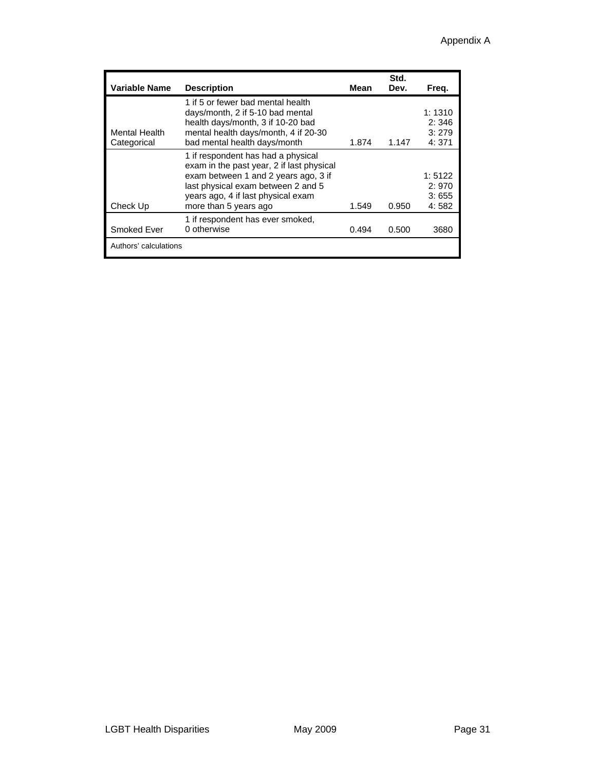| Variable Name                | <b>Description</b>                                                                                                                                                                                                           | Mean  | Std.<br>Dev. | Freq.                             |
|------------------------------|------------------------------------------------------------------------------------------------------------------------------------------------------------------------------------------------------------------------------|-------|--------------|-----------------------------------|
| Mental Health<br>Categorical | 1 if 5 or fewer bad mental health<br>days/month, 2 if 5-10 bad mental<br>health days/month, 3 if 10-20 bad<br>mental health days/month, 4 if 20-30<br>bad mental health days/month                                           | 1.874 | 1.147        | 1:1310<br>2:346<br>3:279<br>4:371 |
| Check Up                     | 1 if respondent has had a physical<br>exam in the past year, 2 if last physical<br>exam between 1 and 2 years ago, 3 if<br>last physical exam between 2 and 5<br>years ago, 4 if last physical exam<br>more than 5 years ago | 1.549 | 0.950        | 1:5122<br>2:970<br>3:655<br>4:582 |
| Smoked Ever                  | 1 if respondent has ever smoked,<br>0 otherwise                                                                                                                                                                              | 0.494 | 0.500        | 3680                              |
| Authors' calculations        |                                                                                                                                                                                                                              |       |              |                                   |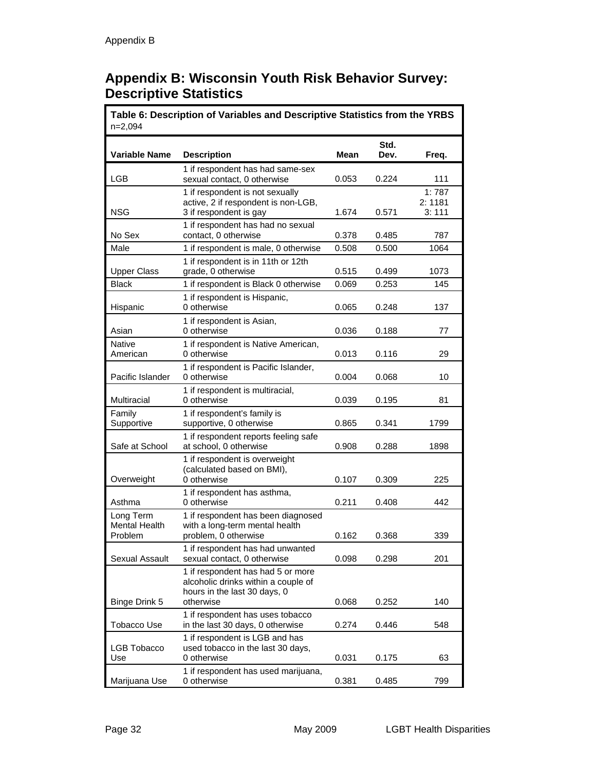# **Appendix B: Wisconsin Youth Risk Behavior Survey: Descriptive Statistics**

| Table 6: Description of Variables and Descriptive Statistics from the YRBS<br>$n=2,094$ |                                                                                                                       |       |              |                          |
|-----------------------------------------------------------------------------------------|-----------------------------------------------------------------------------------------------------------------------|-------|--------------|--------------------------|
| <b>Variable Name</b>                                                                    | <b>Description</b>                                                                                                    | Mean  | Std.<br>Dev. | Freq.                    |
| LGB                                                                                     | 1 if respondent has had same-sex<br>sexual contact, 0 otherwise                                                       | 0.053 | 0.224        | 111                      |
| <b>NSG</b>                                                                              | 1 if respondent is not sexually<br>active, 2 if respondent is non-LGB,<br>3 if respondent is gay                      | 1.674 | 0.571        | 1:787<br>2:1181<br>3:111 |
| No Sex                                                                                  | 1 if respondent has had no sexual<br>contact, 0 otherwise                                                             | 0.378 | 0.485        | 787                      |
| Male                                                                                    | 1 if respondent is male, 0 otherwise                                                                                  | 0.508 | 0.500        | 1064                     |
| <b>Upper Class</b>                                                                      | 1 if respondent is in 11th or 12th<br>grade, 0 otherwise                                                              | 0.515 | 0.499        | 1073                     |
| <b>Black</b>                                                                            | 1 if respondent is Black 0 otherwise                                                                                  | 0.069 | 0.253        | 145                      |
| Hispanic                                                                                | 1 if respondent is Hispanic,<br>0 otherwise                                                                           | 0.065 | 0.248        | 137                      |
| Asian                                                                                   | 1 if respondent is Asian,<br>0 otherwise                                                                              | 0.036 | 0.188        | 77                       |
| <b>Native</b>                                                                           | 1 if respondent is Native American,                                                                                   |       |              |                          |
| American                                                                                | 0 otherwise<br>1 if respondent is Pacific Islander,                                                                   | 0.013 | 0.116        | 29                       |
| Pacific Islander                                                                        | 0 otherwise                                                                                                           | 0.004 | 0.068        | 10                       |
| Multiracial                                                                             | 1 if respondent is multiracial,<br>0 otherwise                                                                        | 0.039 | 0.195        | 81                       |
| Family<br>Supportive                                                                    | 1 if respondent's family is<br>supportive, 0 otherwise                                                                | 0.865 | 0.341        | 1799                     |
| Safe at School                                                                          | 1 if respondent reports feeling safe<br>at school, 0 otherwise                                                        | 0.908 | 0.288        | 1898                     |
| Overweight                                                                              | 1 if respondent is overweight<br>(calculated based on BMI),<br>0 otherwise                                            | 0.107 | 0.309        | 225                      |
| Asthma                                                                                  | 1 if respondent has asthma,<br>0 otherwise                                                                            | 0.211 | 0.408        | 442                      |
| Long Term<br><b>Mental Health</b><br>Problem                                            | 1 if respondent has been diagnosed<br>with a long-term mental health<br>problem, 0 otherwise                          | 0.162 | 0.368        | 339                      |
| <b>Sexual Assault</b>                                                                   | 1 if respondent has had unwanted<br>sexual contact, 0 otherwise                                                       | 0.098 | 0.298        | 201                      |
| Binge Drink 5                                                                           | 1 if respondent has had 5 or more<br>alcoholic drinks within a couple of<br>hours in the last 30 days, 0<br>otherwise | 0.068 | 0.252        | 140                      |
|                                                                                         | 1 if respondent has uses tobacco                                                                                      |       |              |                          |
| Tobacco Use                                                                             | in the last 30 days, 0 otherwise<br>1 if respondent is LGB and has                                                    | 0.274 | 0.446        | 548                      |
| LGB Tobacco<br>Use                                                                      | used tobacco in the last 30 days,<br>0 otherwise                                                                      | 0.031 | 0.175        | 63                       |
| Marijuana Use                                                                           | 1 if respondent has used marijuana,<br>0 otherwise                                                                    | 0.381 | 0.485        | 799                      |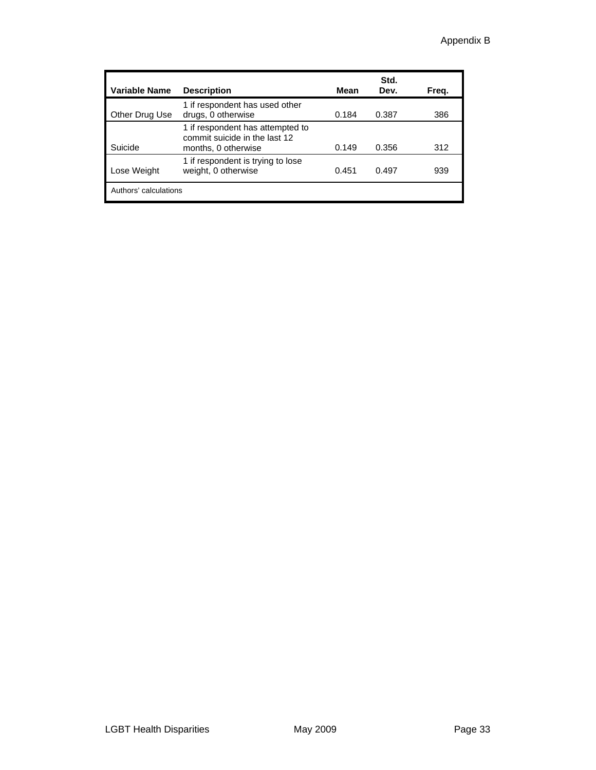| Variable Name         | <b>Description</b>                                                                       | Mean  | Std.<br>Dev. | Freq. |
|-----------------------|------------------------------------------------------------------------------------------|-------|--------------|-------|
| Other Drug Use        | 1 if respondent has used other<br>drugs, 0 otherwise                                     | 0.184 | 0.387        | 386   |
| Suicide               | 1 if respondent has attempted to<br>commit suicide in the last 12<br>months, 0 otherwise | 0.149 | 0.356        | 312   |
| Lose Weight           | 1 if respondent is trying to lose<br>weight, 0 otherwise                                 | 0.451 | 0.497        | 939   |
| Authors' calculations |                                                                                          |       |              |       |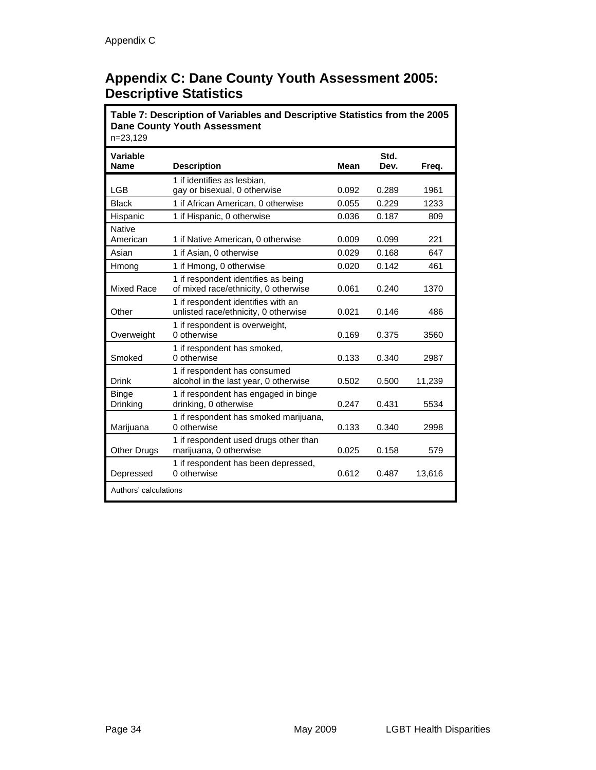# **Appendix C: Dane County Youth Assessment 2005: Descriptive Statistics**

**Table 7: Description of Variables and Descriptive Statistics from the 2005 Dane County Youth Assessment**  n=23,129 **Variable Name Description Mean Accord Mean Accord Mean Accord Mean Accord Mean Accord Mean Accord Mean Accord Mean Accord Mean Accord Mean Accord Mean Accord Mean Accord Mean Accord Mean Accord Mean Accord Mean Accord Mean Accord Std. Dev. Freq.**  LGB 1 if identifies as lesbian, gay or bisexual, 0 otherwise **1961 0.092** 0.289 1961 Black 1 if African American, 0 otherwise 0.055 0.229 1233 Hispanic 1 if Hispanic, 0 otherwise 0.036 0.187 809 Native<br>American 1 if Native American, 0 otherwise  $0.009$  0.099 221 Asian 1if Asian, 0 otherwise 0.029 0.168 647 Hmong 1 if Hmong, 0 otherwise 10.020 0.142 461 Mixed Race 1 if respondent identifies as being of mixed race/ethnicity, 0 otherwise 0.061 0.240 1370 **Other** 1 if respondent identifies with an unlisted race/ethnicity, 0 otherwise  $0.021$  0.146 486 **Overweight** 1 if respondent is overweight, 0 otherwise 0.169 0.375 3560 Smoked 1 if respondent has smoked, 0 otherwise 0.133 0.340 2987 Drink 1 if respondent has consumed alcohol in the last year, 0 otherwise 0.502 0.500 11,239 Binge Drinking 1 if respondent has engaged in binge drinking, 0 otherwise **1.1 cm**  $\overline{a}$  0.247 0.431 5534 Marijuana 1 if respondent has smoked marijuana, 0 otherwise 0.133 0.340 2998 Other Drugs 1 if respondent used drugs other than marijuana, 0 otherwise 10.025 0.158 579 Depressed 1 if respondent has been depressed, 0 otherwise 0.612 0.487 13.616 Authors' calculations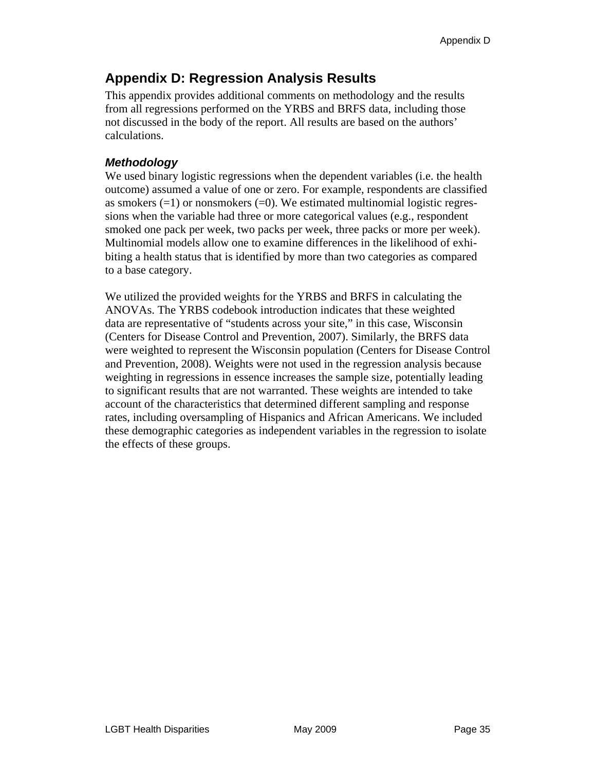# **Appendix D: Regression Analysis Results**

This appendix provides additional comments on methodology and the results from all regressions performed on the YRBS and BRFS data, including those not discussed in the body of the report. All results are based on the authors' calculations.

### *Methodology*

We used binary logistic regressions when the dependent variables (i.e. the health outcome) assumed a value of one or zero. For example, respondents are classified as smokers  $(=1)$  or nonsmokers  $(=0)$ . We estimated multinomial logistic regressions when the variable had three or more categorical values (e.g., respondent smoked one pack per week, two packs per week, three packs or more per week). Multinomial models allow one to examine differences in the likelihood of exhibiting a health status that is identified by more than two categories as compared to a base category.

We utilized the provided weights for the YRBS and BRFS in calculating the ANOVAs. The YRBS codebook introduction indicates that these weighted data are representative of "students across your site," in this case, Wisconsin (Centers for Disease Control and Prevention, 2007). Similarly, the BRFS data were weighted to represent the Wisconsin population (Centers for Disease Control and Prevention, 2008). Weights were not used in the regression analysis because weighting in regressions in essence increases the sample size, potentially leading to significant results that are not warranted. These weights are intended to take account of the characteristics that determined different sampling and response rates, including oversampling of Hispanics and African Americans. We included these demographic categories as independent variables in the regression to isolate the effects of these groups.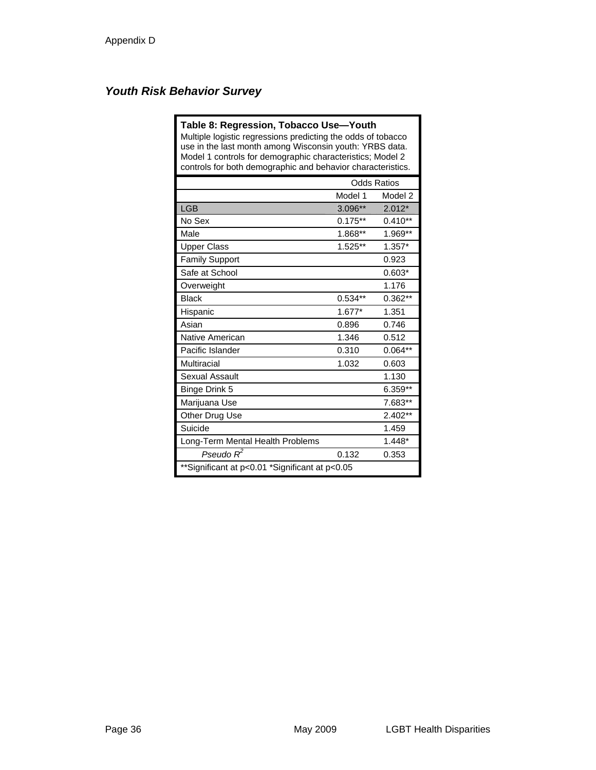### *Youth Risk Behavior Survey*

| Table 8: Regression, Tobacco Use-Youth<br>Multiple logistic regressions predicting the odds of tobacco<br>use in the last month among Wisconsin youth: YRBS data.<br>Model 1 controls for demographic characteristics; Model 2<br>controls for both demographic and behavior characteristics. |           |                    |  |
|-----------------------------------------------------------------------------------------------------------------------------------------------------------------------------------------------------------------------------------------------------------------------------------------------|-----------|--------------------|--|
|                                                                                                                                                                                                                                                                                               |           | <b>Odds Ratios</b> |  |
|                                                                                                                                                                                                                                                                                               | Model 1   | Model 2            |  |
| <b>LGB</b>                                                                                                                                                                                                                                                                                    | 3.096**   | $2.012*$           |  |
| No Sex                                                                                                                                                                                                                                                                                        | $0.175**$ | $0.410**$          |  |
| Male                                                                                                                                                                                                                                                                                          | 1.868**   | 1.969**            |  |
| <b>Upper Class</b>                                                                                                                                                                                                                                                                            | $1.525**$ | $1.357*$           |  |
| <b>Family Support</b>                                                                                                                                                                                                                                                                         |           | 0.923              |  |
| Safe at School                                                                                                                                                                                                                                                                                |           | $0.603*$           |  |
| Overweight                                                                                                                                                                                                                                                                                    |           | 1.176              |  |
| <b>Black</b>                                                                                                                                                                                                                                                                                  | $0.534**$ | $0.362**$          |  |
| Hispanic                                                                                                                                                                                                                                                                                      | $1.677*$  | 1.351              |  |
| Asian                                                                                                                                                                                                                                                                                         | 0.896     | 0.746              |  |
| Native American                                                                                                                                                                                                                                                                               | 1.346     | 0.512              |  |
| Pacific Islander                                                                                                                                                                                                                                                                              | 0.310     | $0.064**$          |  |
| Multiracial                                                                                                                                                                                                                                                                                   | 1.032     | 0.603              |  |
| Sexual Assault                                                                                                                                                                                                                                                                                |           | 1.130              |  |
| Binge Drink 5                                                                                                                                                                                                                                                                                 |           | $6.359**$          |  |
| Marijuana Use                                                                                                                                                                                                                                                                                 |           | 7.683**            |  |
| Other Drug Use                                                                                                                                                                                                                                                                                |           | $2.402**$          |  |
| Suicide                                                                                                                                                                                                                                                                                       |           | 1.459              |  |
| Long-Term Mental Health Problems                                                                                                                                                                                                                                                              |           | $1.448*$           |  |
| Pseudo $R^2$                                                                                                                                                                                                                                                                                  | 0.132     | 0.353              |  |
| **Significant at p<0.01 *Significant at p<0.05                                                                                                                                                                                                                                                |           |                    |  |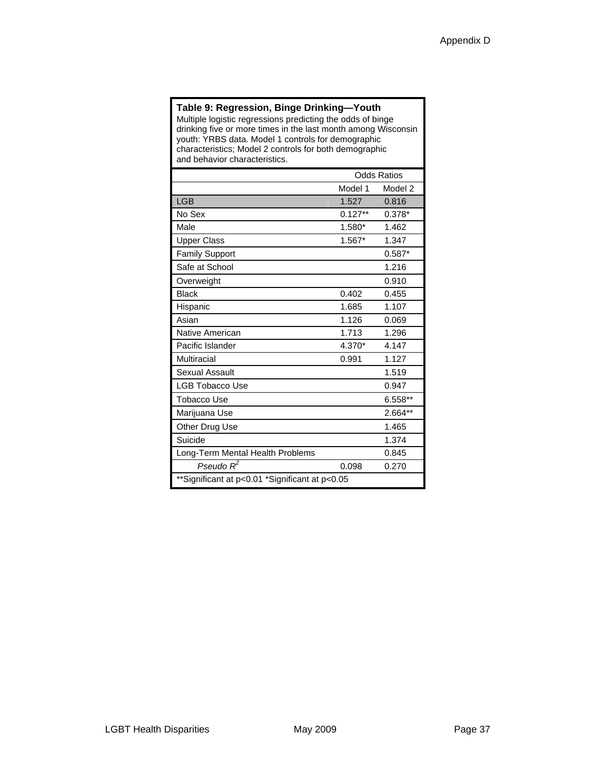#### **Table 9: Regression, Binge Drinking—Youth**

Multiple logistic regressions predicting the odds of binge drinking five or more times in the last month among Wisconsin youth: YRBS data. Model 1 controls for demographic characteristics; Model 2 controls for both demographic and behavior characteristics.

|                                                | <b>Odds Ratios</b> |          |  |
|------------------------------------------------|--------------------|----------|--|
|                                                | Model 1            | Model 2  |  |
| <b>LGB</b>                                     | 1.527              | 0.816    |  |
| No Sex                                         | $0.127**$          | $0.378*$ |  |
| Male                                           | 1.580*             | 1.462    |  |
| <b>Upper Class</b>                             | 1.567*             | 1.347    |  |
| <b>Family Support</b>                          |                    | $0.587*$ |  |
| Safe at School                                 |                    | 1.216    |  |
| Overweight                                     |                    | 0.910    |  |
| <b>Black</b>                                   | 0.402              | 0.455    |  |
| Hispanic                                       | 1.685              | 1.107    |  |
| Asian                                          | 1.126              | 0.069    |  |
| Native American                                | 1.713              | 1.296    |  |
| Pacific Islander                               | 4.370*             | 4.147    |  |
| Multiracial                                    | 0.991              | 1.127    |  |
| Sexual Assault                                 |                    | 1.519    |  |
| LGB Tobacco Use                                |                    | 0.947    |  |
| <b>Tobacco Use</b>                             |                    | 6.558**  |  |
| Marijuana Use                                  |                    | 2.664**  |  |
| Other Drug Use                                 |                    | 1.465    |  |
| Suicide                                        |                    | 1.374    |  |
| Long-Term Mental Health Problems               |                    | 0.845    |  |
| Pseudo $R^2$                                   | 0.098              | 0.270    |  |
| **Significant at p<0.01 *Significant at p<0.05 |                    |          |  |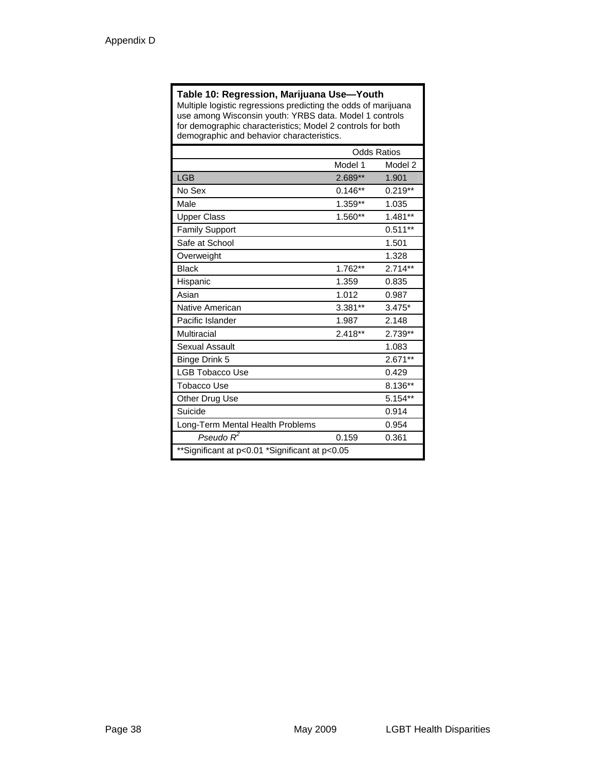#### **Table 10: Regression, Marijuana Use—Youth**

Multiple logistic regressions predicting the odds of marijuana use among Wisconsin youth: YRBS data. Model 1 controls for demographic characteristics; Model 2 controls for both demographic and behavior characteristics.

|                                                | <b>Odds Ratios</b> |           |
|------------------------------------------------|--------------------|-----------|
|                                                | Model 1            | Model 2   |
| <b>LGB</b>                                     | 2.689**            | 1.901     |
| No Sex                                         | $0.146**$          | $0.219**$ |
| Male                                           | 1.359**            | 1.035     |
| <b>Upper Class</b>                             | 1.560**            | $1.481**$ |
| <b>Family Support</b>                          |                    | $0.511**$ |
| Safe at School                                 |                    | 1.501     |
| Overweight                                     |                    | 1.328     |
| <b>Black</b>                                   | 1.762**            | $2.714**$ |
| Hispanic                                       | 1.359              | 0.835     |
| Asian                                          | 1.012              | 0.987     |
| Native American                                | 3.381**            | $3.475*$  |
| Pacific Islander                               | 1.987              | 2.148     |
| Multiracial                                    | $2.418**$          | 2.739**   |
| Sexual Assault                                 |                    | 1.083     |
| Binge Drink 5                                  |                    | $2.671**$ |
| <b>LGB Tobacco Use</b>                         |                    | 0.429     |
| <b>Tobacco Use</b>                             |                    | 8.136**   |
| Other Drug Use                                 |                    | $5.154**$ |
| Suicide                                        |                    | 0.914     |
| Long-Term Mental Health Problems               |                    | 0.954     |
| Pseudo $R^2$                                   | 0.159              | 0.361     |
| **Significant at p<0.01 *Significant at p<0.05 |                    |           |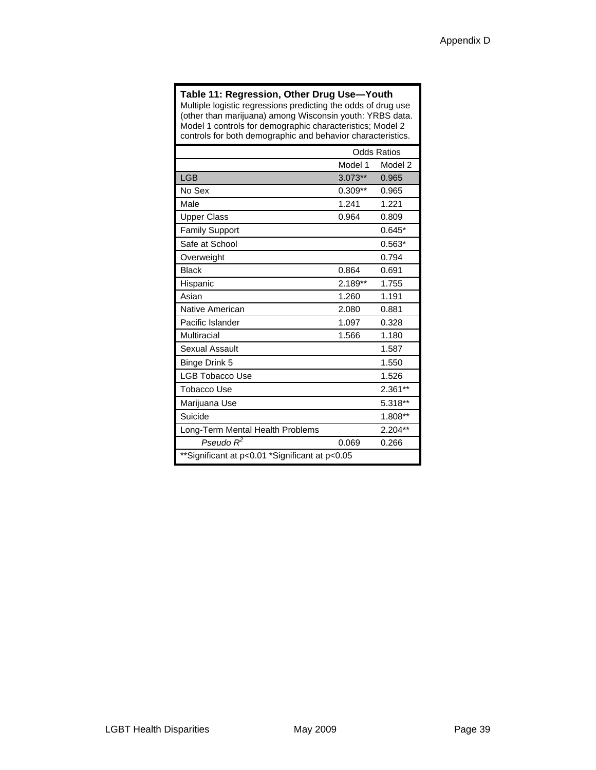#### **Table 11: Regression, Other Drug Use—Youth**

Multiple logistic regressions predicting the odds of drug use (other than marijuana) among Wisconsin youth: YRBS data. Model 1 controls for demographic characteristics; Model 2 controls for both demographic and behavior characteristics.

|                                                | <b>Odds Ratios</b> |           |
|------------------------------------------------|--------------------|-----------|
|                                                | Model 1            | Model 2   |
| <b>LGB</b>                                     | $3.073**$          | 0.965     |
| No Sex                                         | $0.309**$          | 0.965     |
| Male                                           | 1.241              | 1.221     |
| <b>Upper Class</b>                             | 0.964              | 0.809     |
| <b>Family Support</b>                          |                    | $0.645*$  |
| Safe at School                                 |                    | $0.563*$  |
| Overweight                                     |                    | 0.794     |
| <b>Black</b>                                   | 0.864              | 0.691     |
| Hispanic                                       | $2.189**$          | 1.755     |
| Asian                                          | 1.260              | 1.191     |
| Native American                                | 2.080              | 0.881     |
| Pacific Islander                               | 1.097              | 0.328     |
| Multiracial                                    | 1.566              | 1.180     |
| <b>Sexual Assault</b>                          |                    | 1.587     |
| Binge Drink 5                                  |                    | 1.550     |
| <b>LGB Tobacco Use</b>                         |                    | 1.526     |
| <b>Tobacco Use</b>                             |                    | $2.361**$ |
| Marijuana Use                                  |                    | 5.318**   |
| Suicide                                        |                    | 1.808**   |
| Long-Term Mental Health Problems               |                    | $2.204**$ |
| Pseudo $R^2$                                   | 0.069              | 0.266     |
| **Significant at p<0.01 *Significant at p<0.05 |                    |           |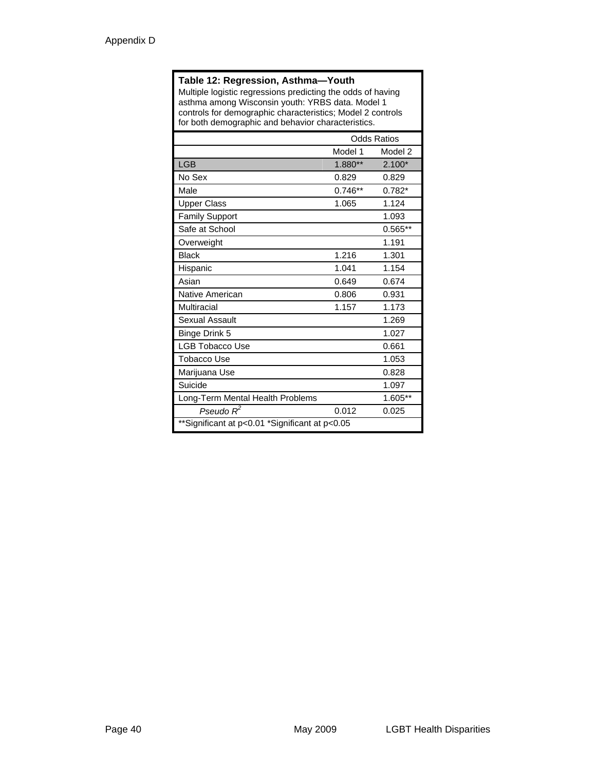#### **Table 12: Regression, Asthma—Youth**

Multiple logistic regressions predicting the odds of having asthma among Wisconsin youth: YRBS data. Model 1 controls for demographic characteristics; Model 2 controls for both demographic and behavior characteristics.

|                                                | <b>Odds Ratios</b> |          |
|------------------------------------------------|--------------------|----------|
|                                                | Model 1            | Model 2  |
| <b>LGB</b>                                     | $1.880**$          | $2.100*$ |
| No Sex                                         | 0.829              | 0.829    |
| Male                                           | $0.746**$          | $0.782*$ |
| <b>Upper Class</b>                             | 1.065              | 1.124    |
| <b>Family Support</b>                          |                    | 1.093    |
| Safe at School                                 |                    | 0.565**  |
| Overweight                                     |                    | 1.191    |
| <b>Black</b>                                   | 1.216              | 1.301    |
| Hispanic                                       | 1.041              | 1.154    |
| Asian                                          | 0.649              | 0.674    |
| Native American                                | 0.806              | 0.931    |
| Multiracial                                    | 1.157              | 1.173    |
| Sexual Assault                                 |                    | 1.269    |
| <b>Binge Drink 5</b>                           |                    | 1.027    |
| <b>LGB Tobacco Use</b>                         |                    | 0.661    |
| Tobacco Use                                    |                    | 1.053    |
| Marijuana Use                                  |                    | 0.828    |
| Suicide                                        |                    | 1.097    |
| Long-Term Mental Health Problems               |                    | 1.605**  |
| Pseudo $R^2$                                   | 0.012              | 0.025    |
| **Significant at p<0.01 *Significant at p<0.05 |                    |          |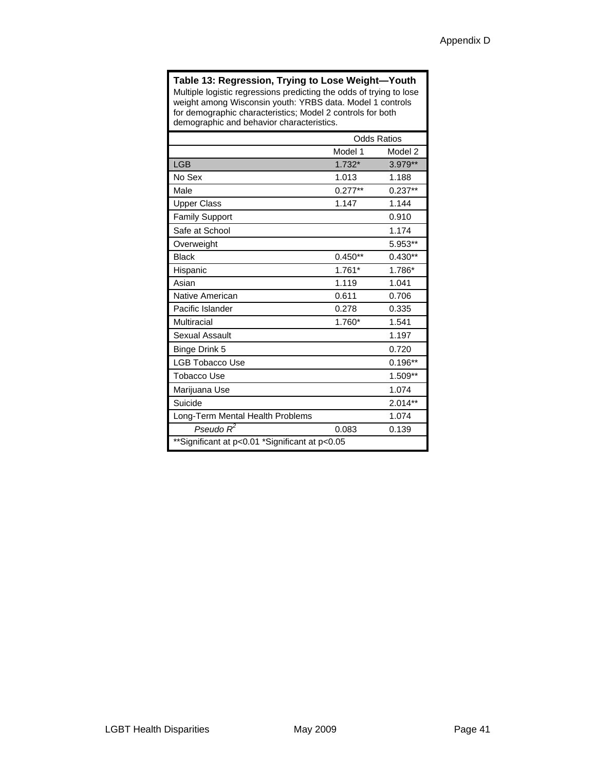#### **Table 13: Regression, Trying to Lose Weight—Youth**  Multiple logistic regressions predicting the odds of trying to lose weight among Wisconsin youth: YRBS data. Model 1 controls for demographic characteristics; Model 2 controls for both demographic and behavior characteristics.

|                                                | <b>Odds Ratios</b> |           |
|------------------------------------------------|--------------------|-----------|
|                                                | Model 1            | Model 2   |
| <b>LGB</b>                                     | $1.732*$           | 3.979**   |
| No Sex                                         | 1.013              | 1.188     |
| Male                                           | $0.277**$          | $0.237**$ |
| <b>Upper Class</b>                             | 1.147              | 1.144     |
| <b>Family Support</b>                          |                    | 0.910     |
| Safe at School                                 |                    | 1.174     |
| Overweight                                     |                    | 5.953**   |
| <b>Black</b>                                   | $0.450**$          | $0.430**$ |
| Hispanic                                       | $1.761*$           | 1.786*    |
| Asian                                          | 1.119              | 1.041     |
| Native American                                | 0.611              | 0.706     |
| Pacific Islander                               | 0.278              | 0.335     |
| Multiracial                                    | 1.760*             | 1.541     |
| <b>Sexual Assault</b>                          |                    | 1.197     |
| Binge Drink 5                                  |                    | 0.720     |
| <b>LGB Tobacco Use</b>                         |                    | $0.196**$ |
| Tobacco Use                                    |                    | 1.509**   |
| Marijuana Use                                  |                    | 1.074     |
| Suicide                                        |                    | $2.014**$ |
| Long-Term Mental Health Problems               |                    | 1.074     |
| Pseudo $R^2$                                   | 0.083              | 0.139     |
| **Significant at p<0.01 *Significant at p<0.05 |                    |           |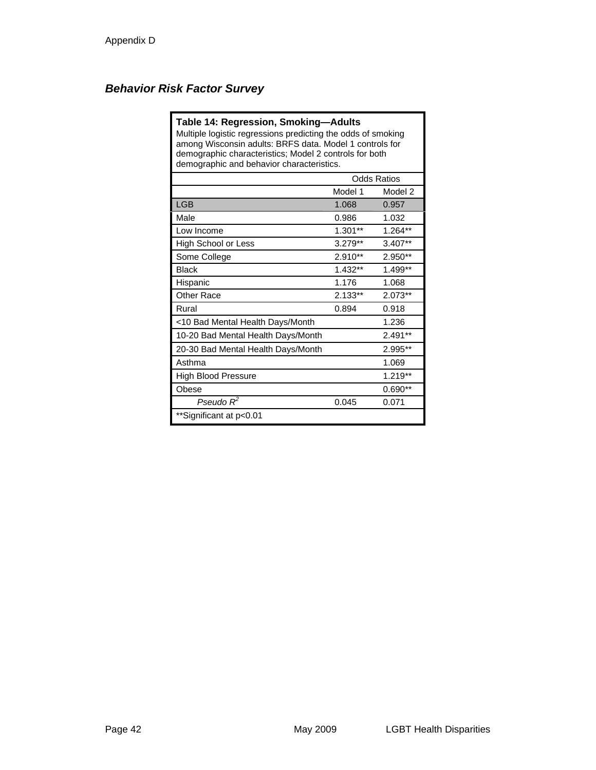### *Behavior Risk Factor Survey*

#### **Table 14: Regression, Smoking—Adults**

Multiple logistic regressions predicting the odds of smoking among Wisconsin adults: BRFS data. Model 1 controls for demographic characteristics; Model 2 controls for both demographic and behavior characteristics.

|                                    | <b>Odds Ratios</b> |           |
|------------------------------------|--------------------|-----------|
|                                    | Model 1            | Model 2   |
| <b>LGB</b>                         | 1.068              | 0.957     |
| Male                               | 0.986              | 1.032     |
| Low Income                         | $1.301**$          | 1.264**   |
| High School or Less                | $3.279**$          | 3.407**   |
| Some College                       | 2.910**            | $2.950**$ |
| <b>Black</b>                       | $1.432**$          | $1.499**$ |
| Hispanic                           | 1.176              | 1.068     |
| <b>Other Race</b>                  | $2.133**$          | $2.073**$ |
| Rural                              | 0.894              | 0.918     |
| <10 Bad Mental Health Days/Month   |                    | 1.236     |
| 10-20 Bad Mental Health Days/Month |                    | 2.491**   |
| 20-30 Bad Mental Health Days/Month |                    | 2.995**   |
| Asthma                             |                    | 1.069     |
| <b>High Blood Pressure</b>         |                    | $1.219**$ |
| Obese                              |                    | $0.690**$ |
| Pseudo $R^2$                       | 0.045              | 0.071     |
| **Significant at p<0.01            |                    |           |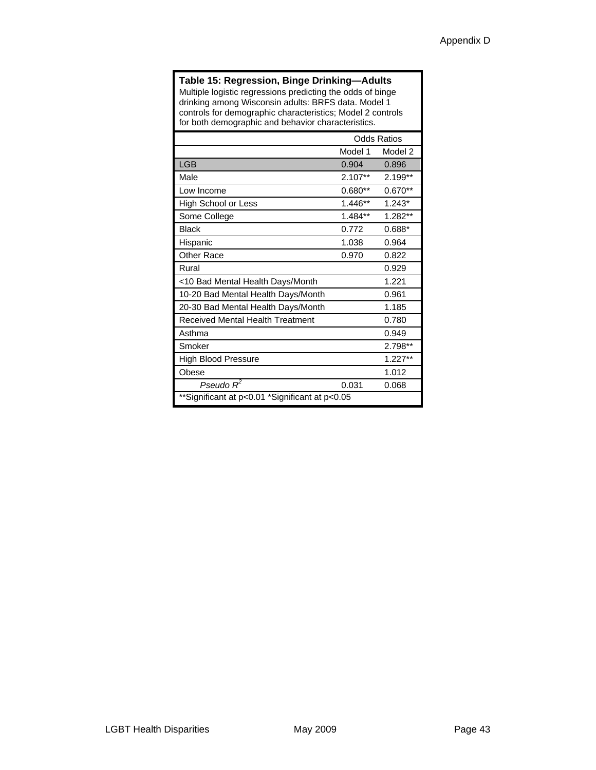#### **Table 15: Regression, Binge Drinking—Adults**

Multiple logistic regressions predicting the odds of binge drinking among Wisconsin adults: BRFS data. Model 1 controls for demographic characteristics; Model 2 controls for both demographic and behavior characteristics.

|                                                | <b>Odds Ratios</b> |           |
|------------------------------------------------|--------------------|-----------|
|                                                | Model 1            | Model 2   |
| <b>LGB</b>                                     | 0.904              | 0.896     |
| Male                                           | $2.107**$          | 2.199**   |
| Low Income                                     | $0.680**$          | $0.670**$ |
| High School or Less                            | 1.446**            | $1.243*$  |
| Some College                                   | $1.484**$          | 1.282**   |
| <b>Black</b>                                   | 0.772              | $0.688*$  |
| Hispanic                                       | 1.038              | 0.964     |
| <b>Other Race</b>                              | 0.970              | 0.822     |
| Rural                                          |                    | 0.929     |
| <10 Bad Mental Health Days/Month               |                    | 1.221     |
| 10-20 Bad Mental Health Days/Month             |                    | 0.961     |
| 20-30 Bad Mental Health Days/Month             |                    | 1.185     |
| Received Mental Health Treatment               |                    | 0.780     |
| Asthma                                         |                    | 0.949     |
| Smoker                                         |                    | 2.798**   |
| High Blood Pressure                            |                    | $1.227**$ |
| Obese                                          |                    | 1.012     |
| Pseudo $R^2$                                   | 0.031              | 0.068     |
| **Significant at p<0.01 *Significant at p<0.05 |                    |           |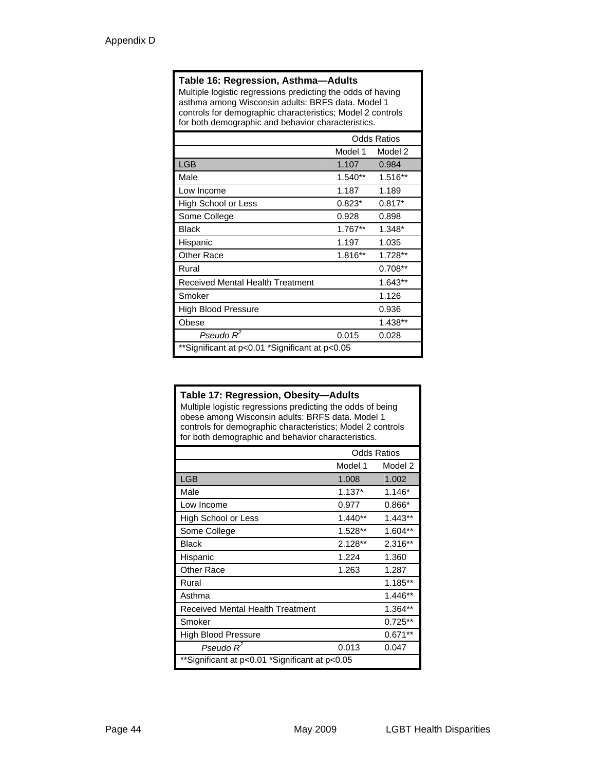#### **Table 16: Regression, Asthma—Adults**

Multiple logistic regressions predicting the odds of having asthma among Wisconsin adults: BRFS data. Model 1 controls for demographic characteristics; Model 2 controls for both demographic and behavior characteristics.

|                                                | <b>Odds Ratios</b> |           |
|------------------------------------------------|--------------------|-----------|
|                                                | Model 1            | Model 2   |
| <b>LGB</b>                                     | 1.107              | 0.984     |
| Male                                           | $1.540**$          | 1.516**   |
| Low Income                                     | 1.187              | 1.189     |
| High School or Less                            | $0.823*$           | $0.817*$  |
| Some College                                   | 0.928              | 0.898     |
| <b>Black</b>                                   | $1.767**$          | $1.348*$  |
| Hispanic                                       | 1.197              | 1.035     |
| <b>Other Race</b>                              | 1.816**            | 1.728**   |
| Rural                                          |                    | $0.708**$ |
| Received Mental Health Treatment               |                    | 1.643**   |
| Smoker                                         |                    | 1.126     |
| High Blood Pressure                            |                    | 0.936     |
| Obese                                          |                    | $1.438**$ |
| Pseudo $R^2$                                   | 0.015              | 0.028     |
| **Significant at p<0.01 *Significant at p<0.05 |                    |           |

#### **Table 17: Regression, Obesity—Adults**

Multiple logistic regressions predicting the odds of being obese among Wisconsin adults: BRFS data. Model 1 controls for demographic characteristics; Model 2 controls for both demographic and behavior characteristics.

|                                                | <b>Odds Ratios</b> |           |
|------------------------------------------------|--------------------|-----------|
|                                                | Model 1            | Model 2   |
| LGB                                            | 1.008              | 1.002     |
| Male                                           | $1.137*$           | $1.146*$  |
| Low Income                                     | 0.977              | $0.866*$  |
| High School or Less                            | $1.440**$          | $1.443**$ |
| Some College                                   | 1.528**            | 1.604**   |
| <b>Black</b>                                   | 2.128**            | 2.316**   |
| Hispanic                                       | 1.224              | 1.360     |
| Other Race                                     | 1.263              | 1.287     |
| Rural                                          |                    | 1.185**   |
| Asthma                                         |                    | 1.446**   |
| Received Mental Health Treatment               |                    | $1.364**$ |
| Smoker                                         |                    | $0.725**$ |
| <b>High Blood Pressure</b>                     |                    | $0.671**$ |
| Pseudo $R^2$                                   | 0.013              | 0.047     |
| **Significant at p<0.01 *Significant at p<0.05 |                    |           |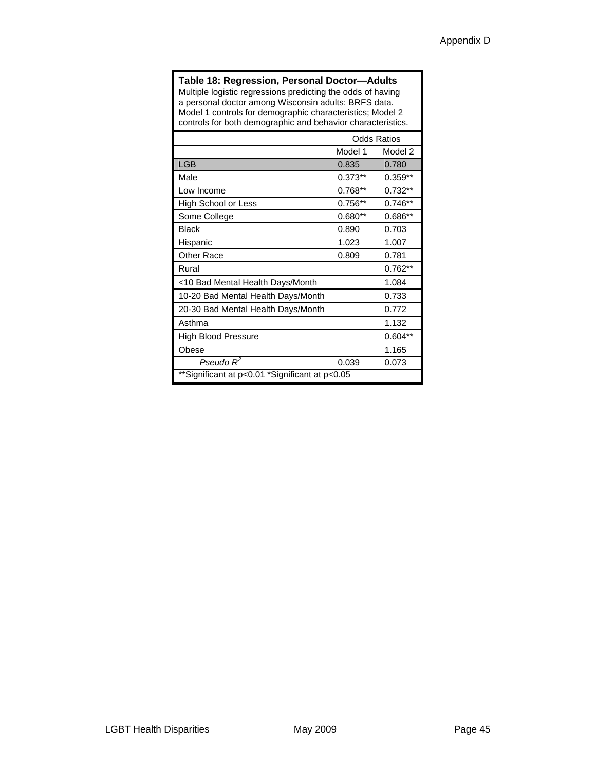#### **Table 18: Regression, Personal Doctor—Adults**

Multiple logistic regressions predicting the odds of having a personal doctor among Wisconsin adults: BRFS data. Model 1 controls for demographic characteristics; Model 2 controls for both demographic and behavior characteristics.

|                                                | <b>Odds Ratios</b> |           |
|------------------------------------------------|--------------------|-----------|
|                                                | Model 1            | Model 2   |
| <b>LGB</b>                                     | 0.835              | 0.780     |
| Male                                           | $0.373**$          | $0.359**$ |
| Low Income                                     | $0.768**$          | $0.732**$ |
| High School or Less                            | $0.756**$          | $0.746**$ |
| Some College                                   | $0.680**$          | $0.686**$ |
| <b>Black</b>                                   | 0.890              | 0.703     |
| Hispanic                                       | 1.023              | 1.007     |
| <b>Other Race</b>                              | 0.809              | 0.781     |
| Rural                                          |                    | $0.762**$ |
| <10 Bad Mental Health Days/Month               |                    | 1.084     |
| 10-20 Bad Mental Health Days/Month             |                    | 0.733     |
| 20-30 Bad Mental Health Days/Month             |                    | 0.772     |
| Asthma                                         |                    | 1.132     |
| <b>High Blood Pressure</b>                     |                    | $0.604**$ |
| Obese                                          |                    | 1.165     |
| Pseudo $R^2$                                   | 0.039              | 0.073     |
| **Significant at p<0.01 *Significant at p<0.05 |                    |           |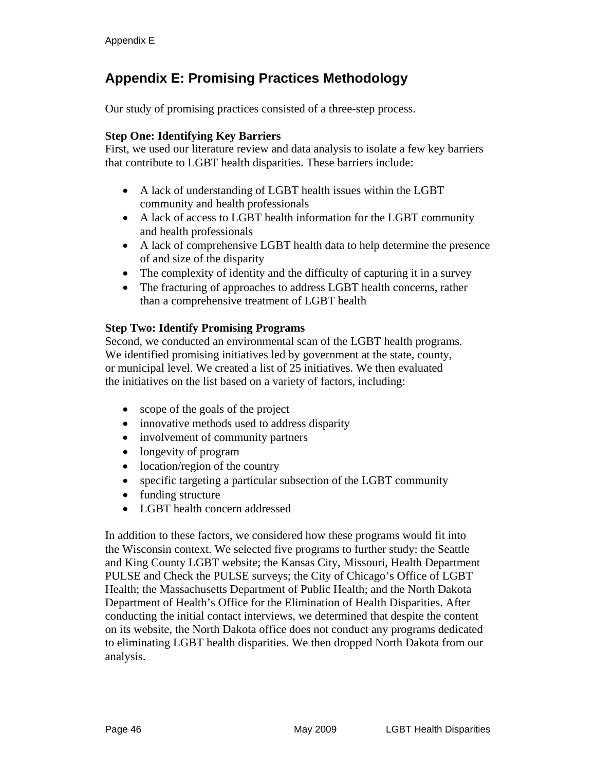# **Appendix E: Promising Practices Methodology**

Our study of promising practices consisted of a three-step process.

#### **Step One: Identifying Key Barriers**

First, we used our literature review and data analysis to isolate a few key barriers that contribute to LGBT health disparities. These barriers include:

- A lack of understanding of LGBT health issues within the LGBT community and health professionals
- A lack of access to LGBT health information for the LGBT community and health professionals
- A lack of comprehensive LGBT health data to help determine the presence of and size of the disparity
- The complexity of identity and the difficulty of capturing it in a survey
- The fracturing of approaches to address LGBT health concerns, rather than a comprehensive treatment of LGBT health

#### **Step Two: Identify Promising Programs**

Second, we conducted an environmental scan of the LGBT health programs. We identified promising initiatives led by government at the state, county, or municipal level. We created a list of 25 initiatives. We then evaluated the initiatives on the list based on a variety of factors, including:

- scope of the goals of the project
- innovative methods used to address disparity
- involvement of community partners
- longevity of program
- location/region of the country
- specific targeting a particular subsection of the LGBT community
- funding structure
- LGBT health concern addressed

In addition to these factors, we considered how these programs would fit into the Wisconsin context. We selected five programs to further study: the Seattle and King County LGBT website; the Kansas City, Missouri, Health Department PULSE and Check the PULSE surveys; the City of Chicago's Office of LGBT Health; the Massachusetts Department of Public Health; and the North Dakota Department of Health's Office for the Elimination of Health Disparities. After conducting the initial contact interviews, we determined that despite the content on its website, the North Dakota office does not conduct any programs dedicated to eliminating LGBT health disparities. We then dropped North Dakota from our analysis.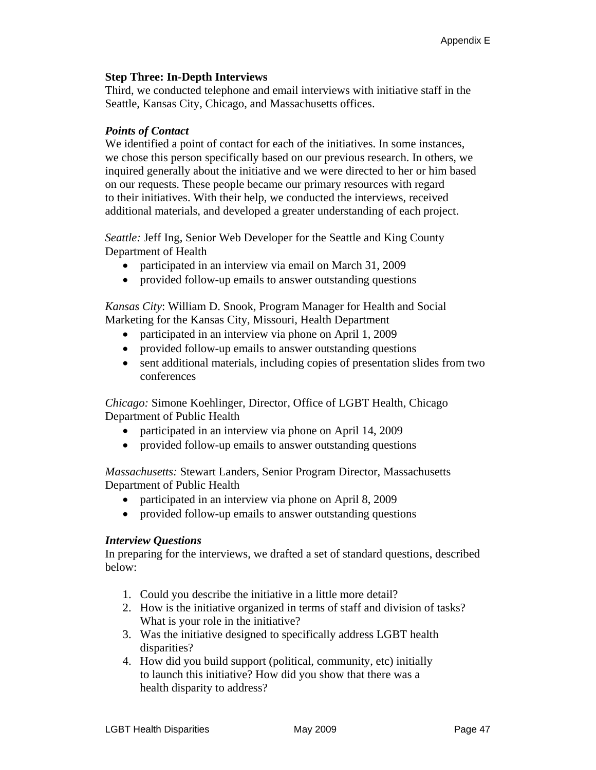#### **Step Three: In-Depth Interviews**

Third, we conducted telephone and email interviews with initiative staff in the Seattle, Kansas City, Chicago, and Massachusetts offices.

#### *Points of Contact*

We identified a point of contact for each of the initiatives. In some instances, we chose this person specifically based on our previous research. In others, we inquired generally about the initiative and we were directed to her or him based on our requests. These people became our primary resources with regard to their initiatives. With their help, we conducted the interviews, received additional materials, and developed a greater understanding of each project.

*Seattle:* Jeff Ing, Senior Web Developer for the Seattle and King County Department of Health

- participated in an interview via email on March 31, 2009
- provided follow-up emails to answer outstanding questions

*Kansas City*: William D. Snook, Program Manager for Health and Social Marketing for the Kansas City, Missouri, Health Department

- participated in an interview via phone on April 1, 2009
- provided follow-up emails to answer outstanding questions
- sent additional materials, including copies of presentation slides from two conferences

*Chicago:* Simone Koehlinger, Director, Office of LGBT Health, Chicago Department of Public Health

- participated in an interview via phone on April 14, 2009
- provided follow-up emails to answer outstanding questions

*Massachusetts:* Stewart Landers, Senior Program Director, Massachusetts Department of Public Health

- participated in an interview via phone on April 8, 2009
- provided follow-up emails to answer outstanding questions

#### *Interview Questions*

In preparing for the interviews, we drafted a set of standard questions, described below:

- 1. Could you describe the initiative in a little more detail?
- 2. How is the initiative organized in terms of staff and division of tasks? What is your role in the initiative?
- 3. Was the initiative designed to specifically address LGBT health disparities?
- 4. How did you build support (political, community, etc) initially to launch this initiative? How did you show that there was a health disparity to address?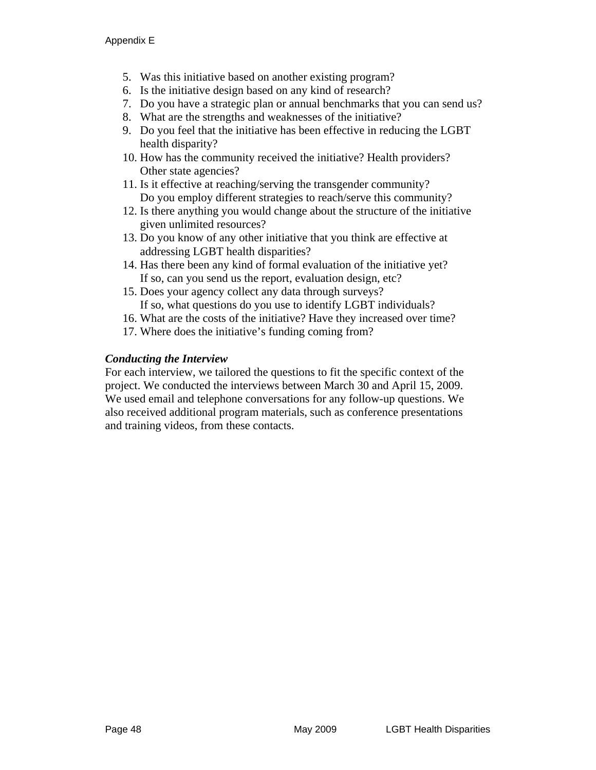- 5. Was this initiative based on another existing program?
- 6. Is the initiative design based on any kind of research?
- 7. Do you have a strategic plan or annual benchmarks that you can send us?
- 8. What are the strengths and weaknesses of the initiative?
- 9. Do you feel that the initiative has been effective in reducing the LGBT health disparity?
- 10. How has the community received the initiative? Health providers? Other state agencies?
- 11. Is it effective at reaching/serving the transgender community? Do you employ different strategies to reach/serve this community?
- 12. Is there anything you would change about the structure of the initiative given unlimited resources?
- 13. Do you know of any other initiative that you think are effective at addressing LGBT health disparities?
- 14. Has there been any kind of formal evaluation of the initiative yet? If so, can you send us the report, evaluation design, etc?
- 15. Does your agency collect any data through surveys? If so, what questions do you use to identify LGBT individuals?
- 16. What are the costs of the initiative? Have they increased over time?
- 17. Where does the initiative's funding coming from?

#### *Conducting the Interview*

For each interview, we tailored the questions to fit the specific context of the project. We conducted the interviews between March 30 and April 15, 2009. We used email and telephone conversations for any follow-up questions. We also received additional program materials, such as conference presentations and training videos, from these contacts.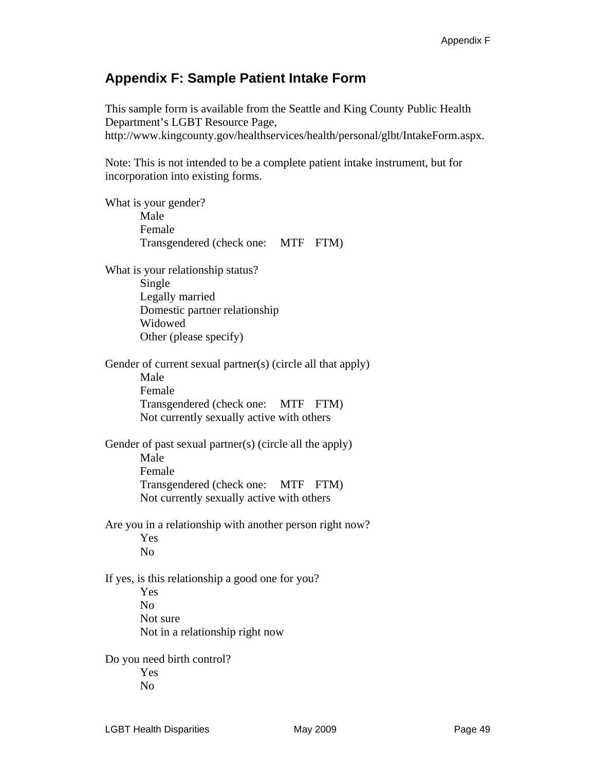### **Appendix F: Sample Patient Intake Form**

This sample form is available from the Seattle and King County Public Health Department's LGBT Resource Page, http://www.kingcounty.gov/healthservices/health/personal/glbt/IntakeForm.aspx.

Note: This is not intended to be a complete patient intake instrument, but for incorporation into existing forms.

What is your gender? Male Female Transgendered (check one: MTF FTM) What is your relationship status? Single Legally married Domestic partner relationship Widowed Other (please specify) Gender of current sexual partner(s) (circle all that apply) Male Female Transgendered (check one: MTF FTM) Not currently sexually active with others Gender of past sexual partner(s) (circle all the apply) Male Female Transgendered (check one: MTF FTM) Not currently sexually active with others Are you in a relationship with another person right now? Yes No If yes, is this relationship a good one for you? Yes No Not sure Not in a relationship right now Do you need birth control? Yes No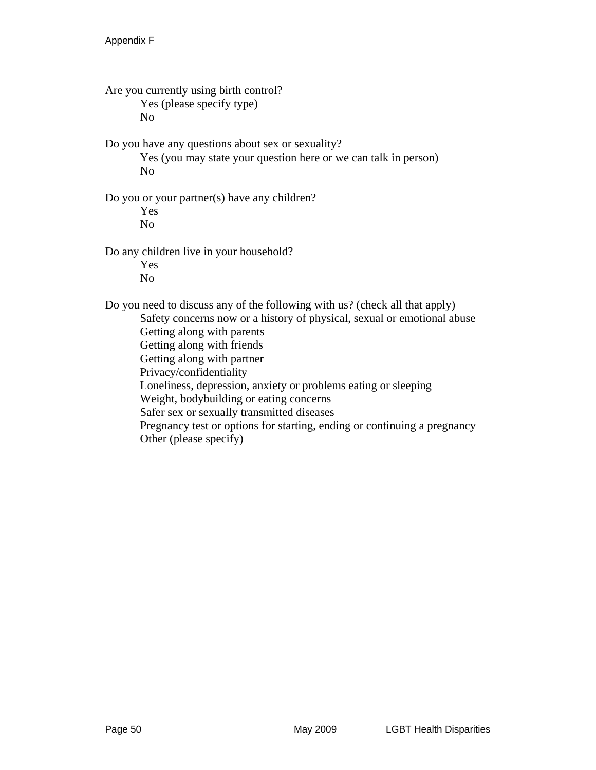Are you currently using birth control? Yes (please specify type) No Do you have any questions about sex or sexuality? Yes (you may state your question here or we can talk in person) No Do you or your partner(s) have any children? Yes No Do any children live in your household? Yes No Do you need to discuss any of the following with us? (check all that apply) Safety concerns now or a history of physical, sexual or emotional abuse Getting along with parents Getting along with friends Getting along with partner Privacy/confidentiality Loneliness, depression, anxiety or problems eating or sleeping Weight, bodybuilding or eating concerns Safer sex or sexually transmitted diseases Pregnancy test or options for starting, ending or continuing a pregnancy Other (please specify)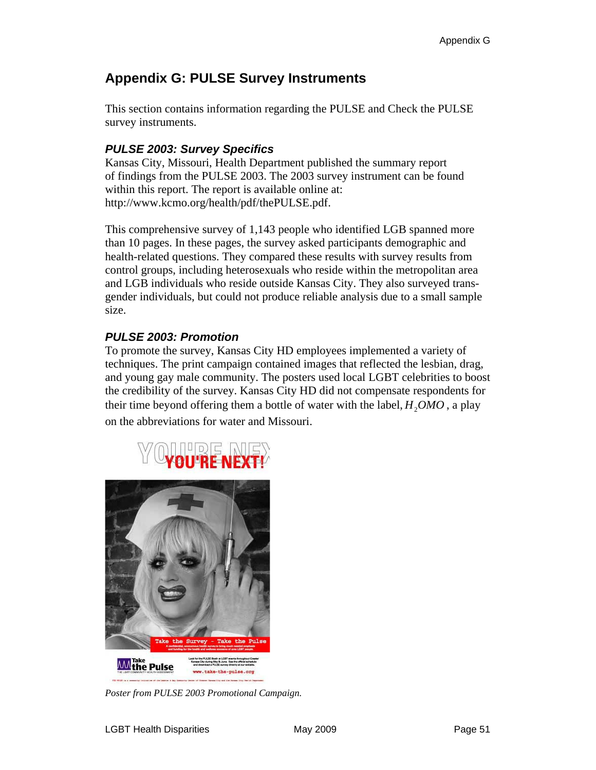# **Appendix G: PULSE Survey Instruments**

This section contains information regarding the PULSE and Check the PULSE survey instruments.

### *PULSE 2003: Survey Specifics*

Kansas City, Missouri, Health Department published the summary report of findings from the PULSE 2003. The 2003 survey instrument can be found within this report. The report is available online at: http://www.kcmo.org/health/pdf/thePULSE.pdf.

This comprehensive survey of 1,143 people who identified LGB spanned more than 10 pages. In these pages, the survey asked participants demographic and health-related questions. They compared these results with survey results from control groups, including heterosexuals who reside within the metropolitan area and LGB individuals who reside outside Kansas City. They also surveyed transgender individuals, but could not produce reliable analysis due to a small sample size.

### *PULSE 2003: Promotion*

To promote the survey, Kansas City HD employees implemented a variety of techniques. The print campaign contained images that reflected the lesbian, drag, and young gay male community. The posters used local LGBT celebrities to boost the credibility of the survey. Kansas City HD did not compensate respondents for their time beyond offering them a bottle of water with the label,  $H_2OMO$ , a play on the abbreviations for water and Missouri.



*Poster from PULSE 2003 Promotional Campaign.*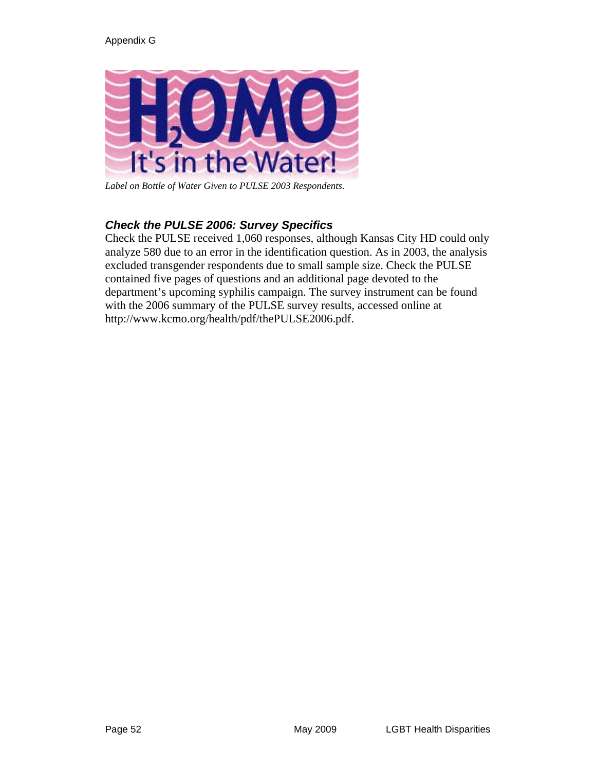

*Label on Bottle of Water Given to PULSE 2003 Respondents.* 

### *Check the PULSE 2006: Survey Specifics*

Check the PULSE received 1,060 responses, although Kansas City HD could only analyze 580 due to an error in the identification question. As in 2003, the analysis excluded transgender respondents due to small sample size. Check the PULSE contained five pages of questions and an additional page devoted to the department's upcoming syphilis campaign. The survey instrument can be found with the 2006 summary of the PULSE survey results, accessed online at http://www.kcmo.org/health/pdf/thePULSE2006.pdf.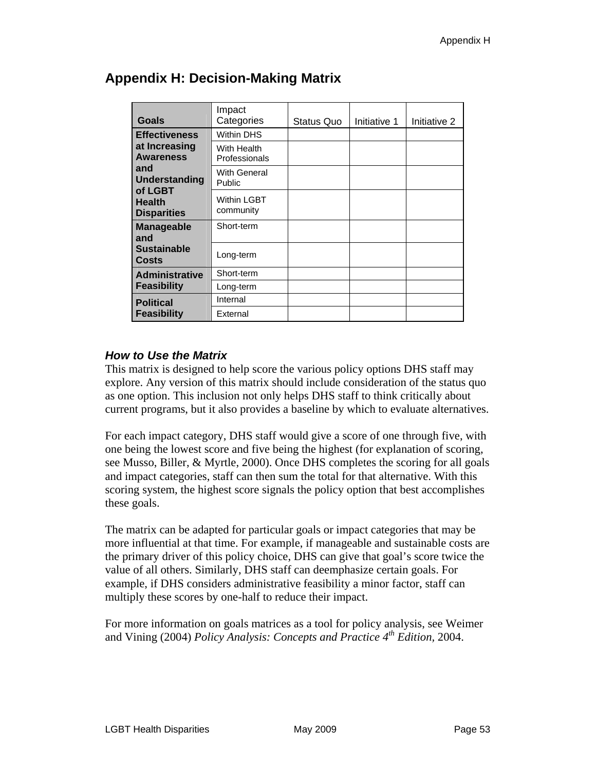| Goals                                          | Impact<br>Categories            | Status Quo | Initiative 1 | Initiative 2 |
|------------------------------------------------|---------------------------------|------------|--------------|--------------|
| <b>Effectiveness</b>                           | <b>Within DHS</b>               |            |              |              |
| at Increasing<br><b>Awareness</b>              | With Health<br>Professionals    |            |              |              |
| and<br>Understanding                           | With General<br>Public          |            |              |              |
| of LGBT<br><b>Health</b><br><b>Disparities</b> | <b>Within LGBT</b><br>community |            |              |              |
| <b>Manageable</b><br>and                       | Short-term                      |            |              |              |
| <b>Sustainable</b><br><b>Costs</b>             | Long-term                       |            |              |              |
| <b>Administrative</b>                          | Short-term                      |            |              |              |
| <b>Feasibility</b>                             | Long-term                       |            |              |              |
| <b>Political</b>                               | Internal                        |            |              |              |
| <b>Feasibility</b>                             | External                        |            |              |              |

### **Appendix H: Decision-Making Matrix**

#### *How to Use the Matrix*

This matrix is designed to help score the various policy options DHS staff may explore. Any version of this matrix should include consideration of the status quo as one option. This inclusion not only helps DHS staff to think critically about current programs, but it also provides a baseline by which to evaluate alternatives.

For each impact category, DHS staff would give a score of one through five, with one being the lowest score and five being the highest (for explanation of scoring, see Musso, Biller, & Myrtle, 2000). Once DHS completes the scoring for all goals and impact categories, staff can then sum the total for that alternative. With this scoring system, the highest score signals the policy option that best accomplishes these goals.

The matrix can be adapted for particular goals or impact categories that may be more influential at that time. For example, if manageable and sustainable costs are the primary driver of this policy choice, DHS can give that goal's score twice the value of all others. Similarly, DHS staff can deemphasize certain goals. For example, if DHS considers administrative feasibility a minor factor, staff can multiply these scores by one-half to reduce their impact.

For more information on goals matrices as a tool for policy analysis, see Weimer and Vining (2004) *Policy Analysis: Concepts and Practice 4th Edition,* 2004.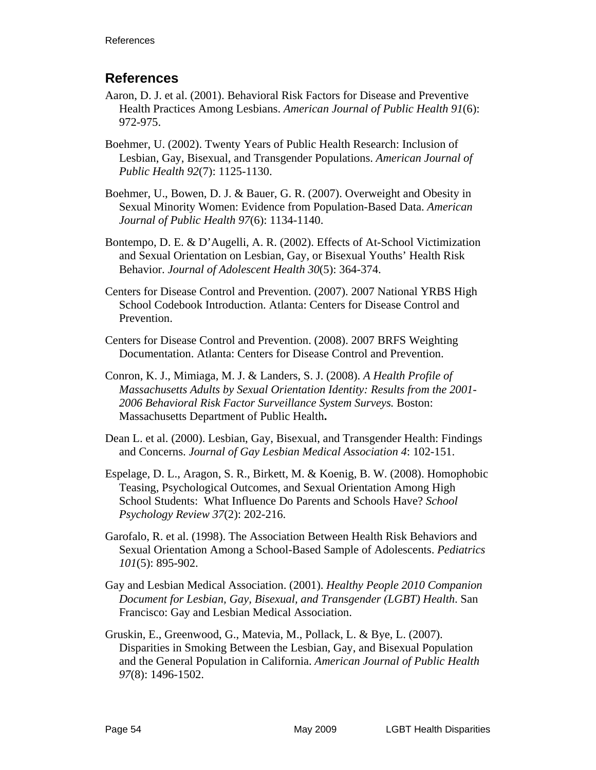### **References**

- Aaron, D. J. et al. (2001). Behavioral Risk Factors for Disease and Preventive Health Practices Among Lesbians. *American Journal of Public Health 91*(6): 972-975.
- Boehmer, U. (2002). Twenty Years of Public Health Research: Inclusion of Lesbian, Gay, Bisexual, and Transgender Populations. *American Journal of Public Health 92*(7): 1125-1130.
- Boehmer, U., Bowen, D. J. & Bauer, G. R. (2007). Overweight and Obesity in Sexual Minority Women: Evidence from Population-Based Data. *American Journal of Public Health 97*(6): 1134-1140.
- Bontempo, D. E. & D'Augelli, A. R. (2002). Effects of At-School Victimization and Sexual Orientation on Lesbian, Gay, or Bisexual Youths' Health Risk Behavior. *Journal of Adolescent Health 30*(5): 364-374.
- Centers for Disease Control and Prevention. (2007). 2007 National YRBS High School Codebook Introduction. Atlanta: Centers for Disease Control and Prevention.
- Centers for Disease Control and Prevention. (2008). 2007 BRFS Weighting Documentation. Atlanta: Centers for Disease Control and Prevention.
- Conron, K. J., Mimiaga, M. J. & Landers, S. J. (2008). *A Health Profile of Massachusetts Adults by Sexual Orientation Identity: Results from the 2001- 2006 Behavioral Risk Factor Surveillance System Surveys.* Boston: Massachusetts Department of Public Health**.**
- Dean L. et al. (2000). Lesbian, Gay, Bisexual, and Transgender Health: Findings and Concerns. *Journal of Gay Lesbian Medical Association 4*: 102-151.
- Espelage, D. L., Aragon, S. R., Birkett, M. & Koenig, B. W. (2008). Homophobic Teasing, Psychological Outcomes, and Sexual Orientation Among High School Students: What Influence Do Parents and Schools Have? *School Psychology Review 37*(2): 202-216.
- Garofalo, R. et al. (1998). The Association Between Health Risk Behaviors and Sexual Orientation Among a School-Based Sample of Adolescents. *Pediatrics 101*(5): 895-902.
- Gay and Lesbian Medical Association. (2001). *Healthy People 2010 Companion Document for Lesbian, Gay, Bisexual, and Transgender (LGBT) Health*. San Francisco: Gay and Lesbian Medical Association.
- Gruskin, E., Greenwood, G., Matevia, M., Pollack, L. & Bye, L. (2007). Disparities in Smoking Between the Lesbian, Gay, and Bisexual Population and the General Population in California. *American Journal of Public Health 97*(8): 1496-1502.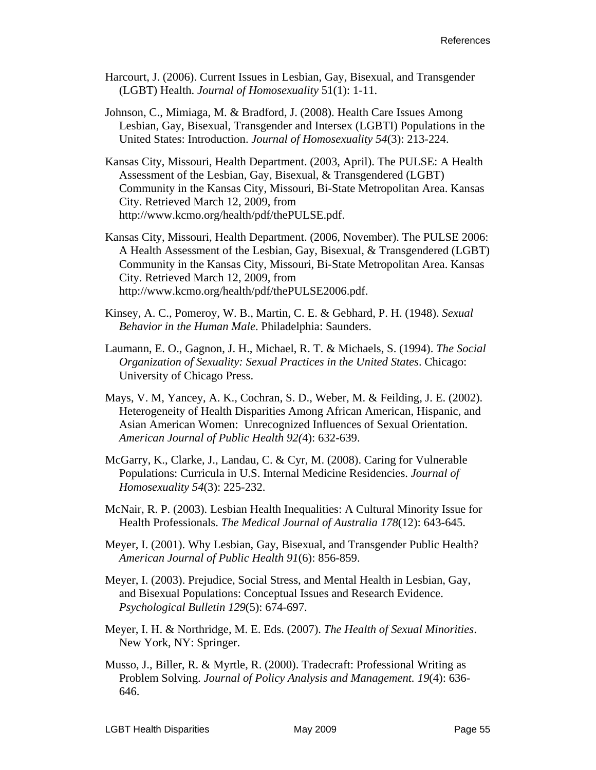- Harcourt, J. (2006). Current Issues in Lesbian, Gay, Bisexual, and Transgender (LGBT) Health. *Journal of Homosexuality* 51(1): 1-11.
- Johnson, C., Mimiaga, M. & Bradford, J. (2008). Health Care Issues Among Lesbian, Gay, Bisexual, Transgender and Intersex (LGBTI) Populations in the United States: Introduction. *Journal of Homosexuality 54*(3): 213-224.
- Kansas City, Missouri, Health Department. (2003, April). The PULSE: A Health Assessment of the Lesbian, Gay, Bisexual, & Transgendered (LGBT) Community in the Kansas City, Missouri, Bi-State Metropolitan Area. Kansas City. Retrieved March 12, 2009, from http://www.kcmo.org/health/pdf/thePULSE.pdf.
- Kansas City, Missouri, Health Department. (2006, November). The PULSE 2006: A Health Assessment of the Lesbian, Gay, Bisexual, & Transgendered (LGBT) Community in the Kansas City, Missouri, Bi-State Metropolitan Area. Kansas City. Retrieved March 12, 2009, from http://www.kcmo.org/health/pdf/thePULSE2006.pdf.
- Kinsey, A. C., Pomeroy, W. B., Martin, C. E. & Gebhard, P. H. (1948). *Sexual Behavior in the Human Male*. Philadelphia: Saunders.
- Laumann, E. O., Gagnon, J. H., Michael, R. T. & Michaels, S. (1994). *The Social Organization of Sexuality: Sexual Practices in the United States*. Chicago: University of Chicago Press.
- Mays, V. M, Yancey, A. K., Cochran, S. D., Weber, M. & Feilding, J. E. (2002). Heterogeneity of Health Disparities Among African American, Hispanic, and Asian American Women: Unrecognized Influences of Sexual Orientation. *American Journal of Public Health 92(*4): 632-639.
- McGarry, K., Clarke, J., Landau, C. & Cyr, M. (2008). Caring for Vulnerable Populations: Curricula in U.S. Internal Medicine Residencies. *Journal of Homosexuality 54*(3): 225-232.
- McNair, R. P. (2003). Lesbian Health Inequalities: A Cultural Minority Issue for Health Professionals. *The Medical Journal of Australia 178*(12): 643-645.
- Meyer, I. (2001). Why Lesbian, Gay, Bisexual, and Transgender Public Health? *American Journal of Public Health 91*(6): 856-859.
- Meyer, I. (2003). Prejudice, Social Stress, and Mental Health in Lesbian, Gay, and Bisexual Populations: Conceptual Issues and Research Evidence. *Psychological Bulletin 129*(5): 674-697.
- Meyer, I. H. & Northridge, M. E. Eds. (2007). *The Health of Sexual Minorities*. New York, NY: Springer.
- Musso, J., Biller, R. & Myrtle, R. (2000). Tradecraft: Professional Writing as Problem Solving. *Journal of Policy Analysis and Management. 19*(4): 636- 646.